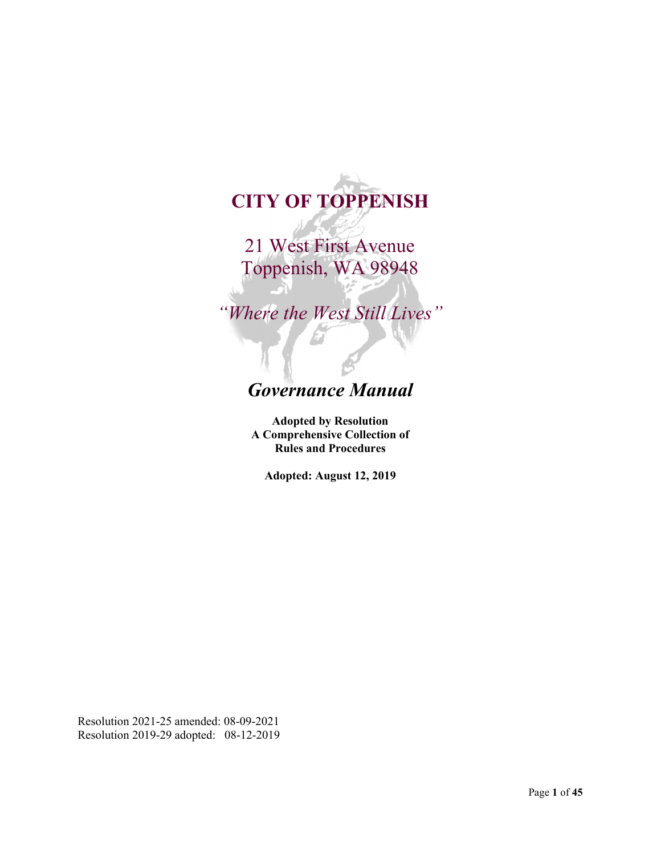# **CITY OF TOPPENISH**

21 West First Avenue Toppenish, WA 98948

*"Where the West Still Lives"*

# *Governance Manual*

**Adopted by Resolution A Comprehensive Collection of Rules and Procedures**

**Adopted: August 12, 2019**

Resolution 2021-25 amended: 08-09-2021 Resolution 2019-29 adopted: 08-12-2019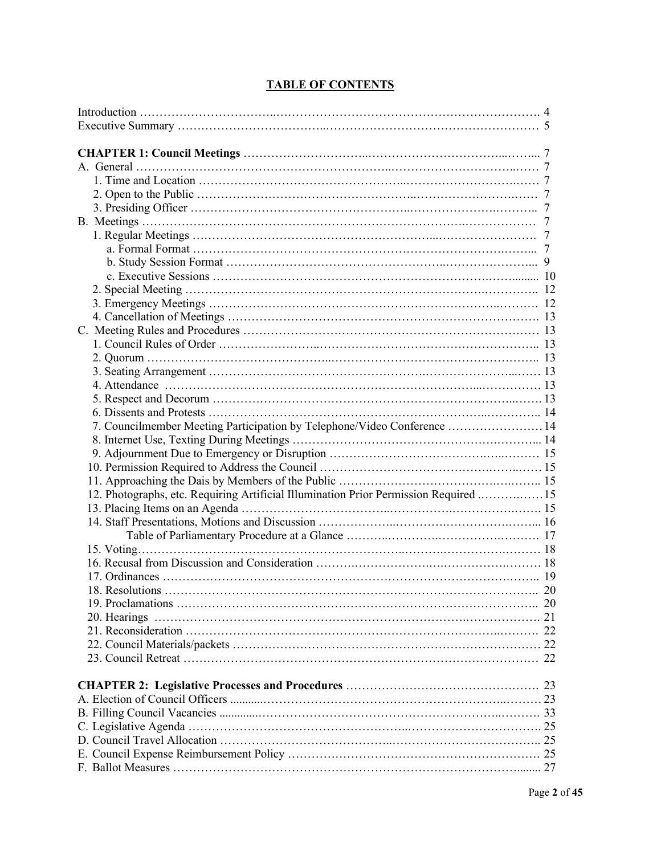| 7. Councilmember Meeting Participation by Telephone/Video Conference  14             |  |
|--------------------------------------------------------------------------------------|--|
|                                                                                      |  |
|                                                                                      |  |
|                                                                                      |  |
|                                                                                      |  |
| 12. Photographs, etc. Requiring Artificial Illumination Prior Permission Required 15 |  |
|                                                                                      |  |
|                                                                                      |  |
|                                                                                      |  |
|                                                                                      |  |
|                                                                                      |  |
|                                                                                      |  |
|                                                                                      |  |
|                                                                                      |  |
|                                                                                      |  |
|                                                                                      |  |
|                                                                                      |  |
|                                                                                      |  |
|                                                                                      |  |
|                                                                                      |  |
|                                                                                      |  |
|                                                                                      |  |
|                                                                                      |  |
|                                                                                      |  |
|                                                                                      |  |

# **TABLE OF CONTENTS**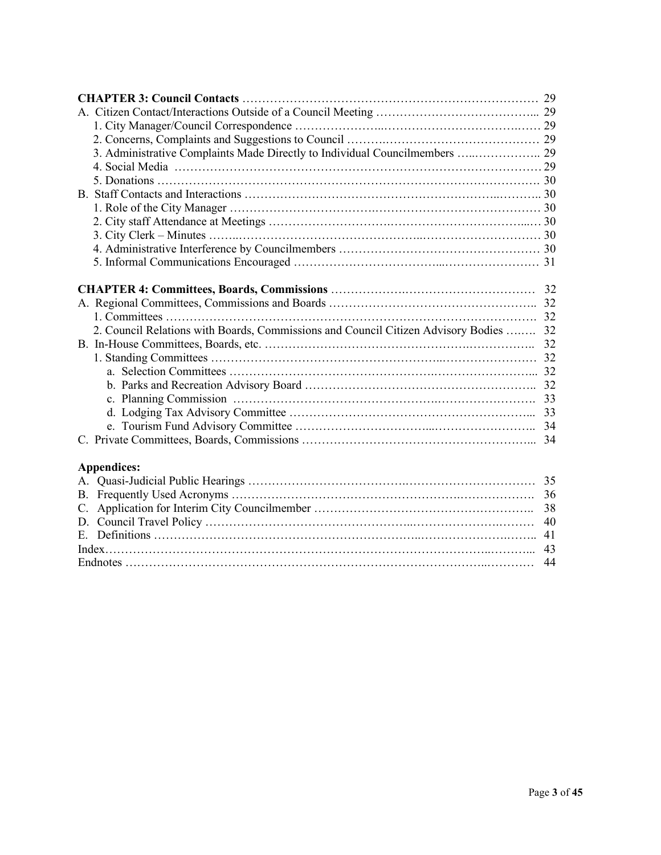| 3. Administrative Complaints Made Directly to Individual Councilmembers  29           |
|---------------------------------------------------------------------------------------|
|                                                                                       |
|                                                                                       |
|                                                                                       |
|                                                                                       |
|                                                                                       |
|                                                                                       |
|                                                                                       |
|                                                                                       |
|                                                                                       |
|                                                                                       |
|                                                                                       |
|                                                                                       |
|                                                                                       |
|                                                                                       |
|                                                                                       |
|                                                                                       |
| 2. Council Relations with Boards, Commissions and Council Citizen Advisory Bodies  32 |
|                                                                                       |
|                                                                                       |
|                                                                                       |
|                                                                                       |
|                                                                                       |
|                                                                                       |
|                                                                                       |
|                                                                                       |
|                                                                                       |
| <b>Appendices:</b>                                                                    |
|                                                                                       |
| B.                                                                                    |
| 38<br>$C_{\cdot}$                                                                     |
| 40                                                                                    |
|                                                                                       |
|                                                                                       |
| 44                                                                                    |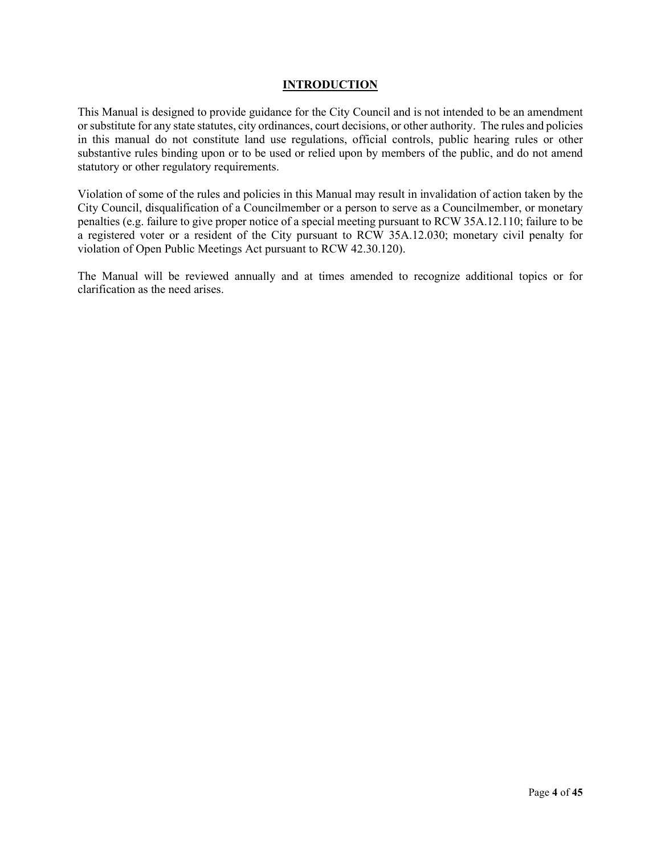#### **INTRODUCTION**

This Manual is designed to provide guidance for the City Council and is not intended to be an amendment or substitute for any state statutes, city ordinances, court decisions, or other authority. The rules and policies in this manual do not constitute land use regulations, official controls, public hearing rules or other substantive rules binding upon or to be used or relied upon by members of the public, and do not amend statutory or other regulatory requirements.

Violation of some of the rules and policies in this Manual may result in invalidation of action taken by the City Council, disqualification of a Councilmember or a person to serve as a Councilmember, or monetary penalties (e.g. failure to give proper notice of a special meeting pursuant to RCW 35A.12.110; failure to be a registered voter or a resident of the City pursuant to RCW 35A.12.030; monetary civil penalty for violation of Open Public Meetings Act pursuant to RCW 42.30.120).

The Manual will be reviewed annually and at times amended to recognize additional topics or for clarification as the need arises.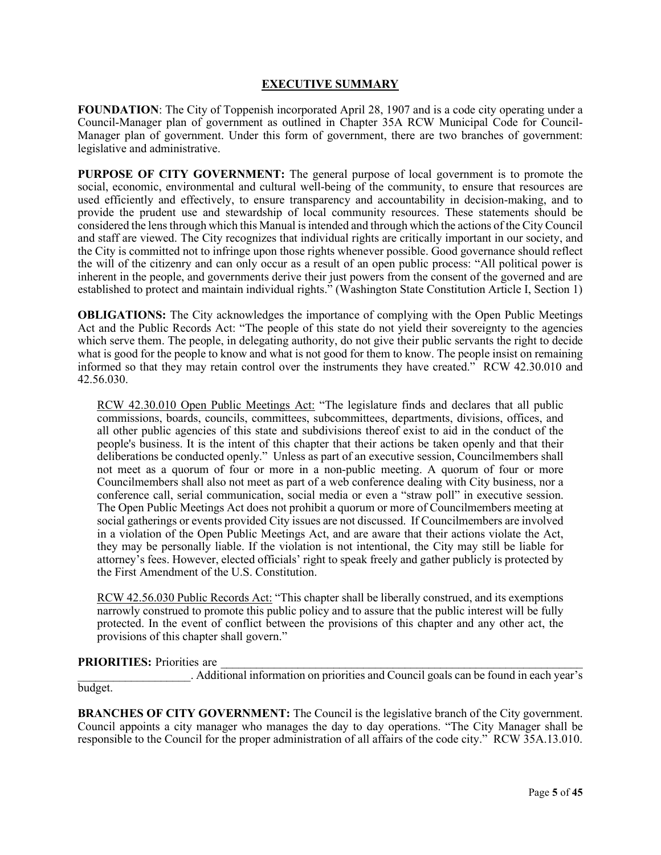#### **EXECUTIVE SUMMARY**

**FOUNDATION**: The City of Toppenish incorporated April 28, 1907 and is a code city operating under a Council-Manager plan of government as outlined in Chapter 35A RCW Municipal Code for Council-Manager plan of government. Under this form of government, there are two branches of government: legislative and administrative.

**PURPOSE OF CITY GOVERNMENT:** The general purpose of local government is to promote the social, economic, environmental and cultural well-being of the community, to ensure that resources are used efficiently and effectively, to ensure transparency and accountability in decision-making, and to provide the prudent use and stewardship of local community resources. These statements should be considered the lens through which this Manual is intended and through which the actions of the City Council and staff are viewed. The City recognizes that individual rights are critically important in our society, and the City is committed not to infringe upon those rights whenever possible. Good governance should reflect the will of the citizenry and can only occur as a result of an open public process: "All political power is inherent in the people, and governments derive their just powers from the consent of the governed and are established to protect and maintain individual rights." (Washington State Constitution Article I, Section 1)

**OBLIGATIONS:** The City acknowledges the importance of complying with the Open Public Meetings Act and the Public Records Act: "The people of this state do not yield their sovereignty to the agencies which serve them. The people, in delegating authority, do not give their public servants the right to decide what is good for the people to know and what is not good for them to know. The people insist on remaining informed so that they may retain control over the instruments they have created." RCW 42.30.010 and 42.56.030.

RCW 42.30.010 Open Public Meetings Act: "The legislature finds and declares that all public commissions, boards, councils, committees, subcommittees, departments, divisions, offices, and all other public agencies of this state and subdivisions thereof exist to aid in the conduct of the people's business. It is the intent of this chapter that their actions be taken openly and that their deliberations be conducted openly." Unless as part of an executive session, Councilmembers shall not meet as a quorum of four or more in a non-public meeting. A quorum of four or more Councilmembers shall also not meet as part of a web conference dealing with City business, nor a conference call, serial communication, social media or even a "straw poll" in executive session. The Open Public Meetings Act does not prohibit a quorum or more of Councilmembers meeting at social gatherings or events provided City issues are not discussed. If Councilmembers are involved in a violation of the Open Public Meetings Act, and are aware that their actions violate the Act, they may be personally liable. If the violation is not intentional, the City may still be liable for attorney's fees. However, elected officials' right to speak freely and gather publicly is protected by the First Amendment of the U.S. Constitution.

RCW 42.56.030 Public Records Act: "This chapter shall be liberally construed, and its exemptions narrowly construed to promote this public policy and to assure that the public interest will be fully protected. In the event of conflict between the provisions of this chapter and any other act, the provisions of this chapter shall govern."

PRIORITIES: Priorities are

\_\_\_\_\_\_\_\_\_\_\_\_\_\_\_\_\_\_\_. Additional information on priorities and Council goals can be found in each year's budget.

**BRANCHES OF CITY GOVERNMENT:** The Council is the legislative branch of the City government. Council appoints a city manager who manages the day to day operations. "The City Manager shall be responsible to the Council for the proper administration of all affairs of the code city." RCW 35A.13.010.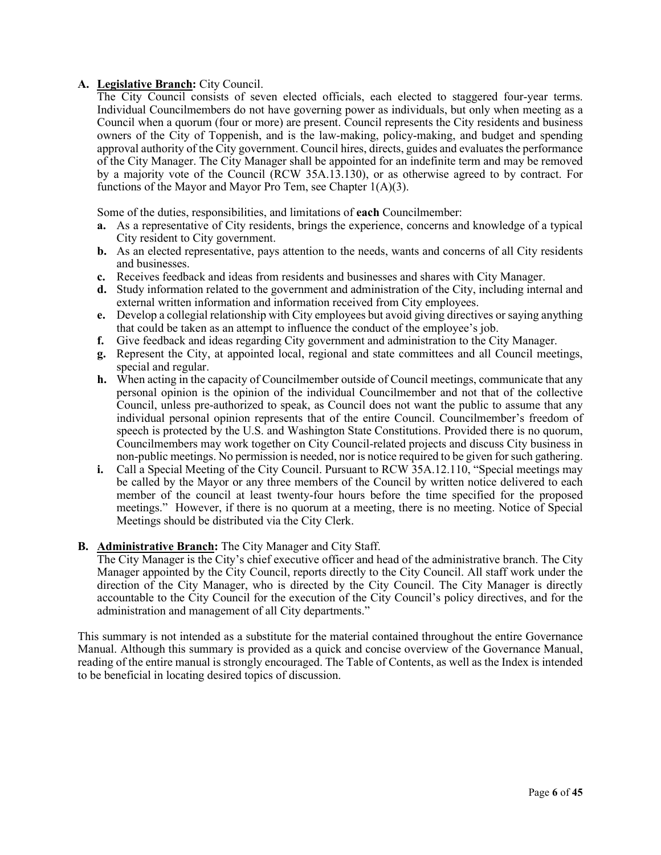### **A. Legislative Branch:** City Council.

The City Council consists of seven elected officials, each elected to staggered four-year terms. Individual Councilmembers do not have governing power as individuals, but only when meeting as a Council when a quorum (four or more) are present. Council represents the City residents and business owners of the City of Toppenish, and is the law-making, policy-making, and budget and spending approval authority of the City government. Council hires, directs, guides and evaluates the performance of the City Manager. The City Manager shall be appointed for an indefinite term and may be removed by a majority vote of the Council (RCW 35A.13.130), or as otherwise agreed to by contract. For functions of the Mayor and Mayor Pro Tem, see Chapter  $1(A)(3)$ .

Some of the duties, responsibilities, and limitations of **each** Councilmember:

- **a.** As a representative of City residents, brings the experience, concerns and knowledge of a typical City resident to City government.
- **b.** As an elected representative, pays attention to the needs, wants and concerns of all City residents and businesses.
- **c.** Receives feedback and ideas from residents and businesses and shares with City Manager.
- **d.** Study information related to the government and administration of the City, including internal and external written information and information received from City employees.
- **e.** Develop a collegial relationship with City employees but avoid giving directives or saying anything that could be taken as an attempt to influence the conduct of the employee's job.
- **f.** Give feedback and ideas regarding City government and administration to the City Manager.
- **g.** Represent the City, at appointed local, regional and state committees and all Council meetings, special and regular.
- **h.** When acting in the capacity of Councilmember outside of Council meetings, communicate that any personal opinion is the opinion of the individual Councilmember and not that of the collective Council, unless pre-authorized to speak, as Council does not want the public to assume that any individual personal opinion represents that of the entire Council. Councilmember's freedom of speech is protected by the U.S. and Washington State Constitutions. Provided there is no quorum, Councilmembers may work together on City Council-related projects and discuss City business in non-public meetings. No permission is needed, nor is notice required to be given for such gathering.
- **i.** Call a Special Meeting of the City Council. Pursuant to RCW 35A.12.110, "Special meetings may be called by the Mayor or any three members of the Council by written notice delivered to each member of the council at least twenty-four hours before the time specified for the proposed meetings." However, if there is no quorum at a meeting, there is no meeting. Notice of Special Meetings should be distributed via the City Clerk.

# **B. Administrative Branch:** The City Manager and City Staff.

The City Manager is the City's chief executive officer and head of the administrative branch. The City Manager appointed by the City Council, reports directly to the City Council. All staff work under the direction of the City Manager, who is directed by the City Council. The City Manager is directly accountable to the City Council for the execution of the City Council's policy directives, and for the administration and management of all City departments."

This summary is not intended as a substitute for the material contained throughout the entire Governance Manual. Although this summary is provided as a quick and concise overview of the Governance Manual, reading of the entire manual is strongly encouraged. The Table of Contents, as well as the Index is intended to be beneficial in locating desired topics of discussion.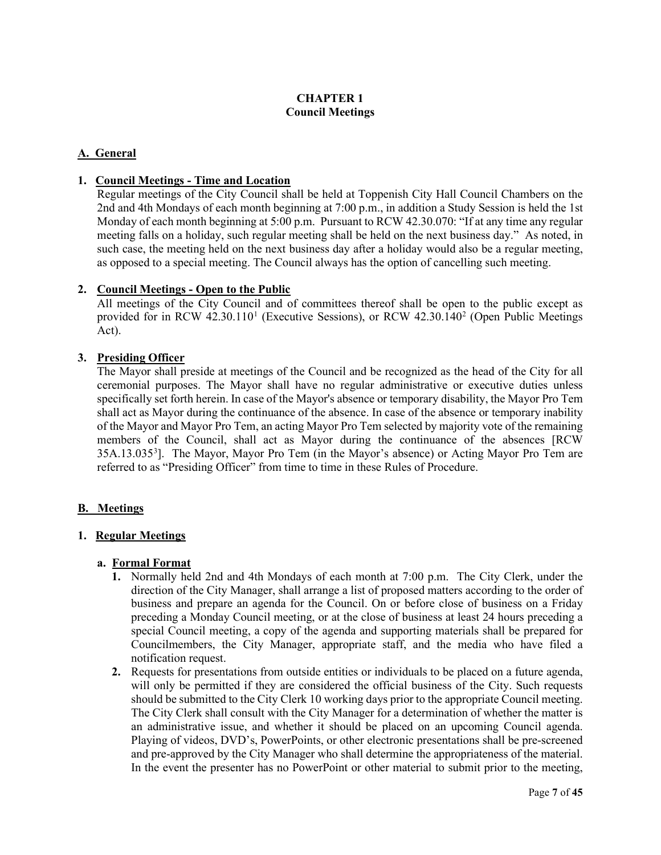# **CHAPTER 1 Council Meetings**

# **A. General**

### **1. Council Meetings - Time and Location**

Regular meetings of the City Council shall be held at Toppenish City Hall Council Chambers on the 2nd and 4th Mondays of each month beginning at 7:00 p.m., in addition a Study Session is held the 1st Monday of each month beginning at 5:00 p.m. Pursuant to RCW 42.30.070: "If at any time any regular meeting falls on a holiday, such regular meeting shall be held on the next business day." As noted, in such case, the meeting held on the next business day after a holiday would also be a regular meeting, as opposed to a special meeting. The Council always has the option of cancelling such meeting.

#### **2. Council Meetings - Open to the Public**

All meetings of the City Council and of committees thereof shall be open to the public except as provided for in RCW 42.30.[1](#page-43-0)10<sup>1</sup> (Executive Sessions), or RCW 42.30.140<sup>2</sup> (Open Public Meetings Act).

#### **3. Presiding Officer**

The Mayor shall preside at meetings of the Council and be recognized as the head of the City for all ceremonial purposes. The Mayor shall have no regular administrative or executive duties unless specifically set forth herein. In case of the Mayor's absence or temporary disability, the Mayor Pro Tem shall act as Mayor during the continuance of the absence. In case of the absence or temporary inability of the Mayor and Mayor Pro Tem, an acting Mayor Pro Tem selected by majority vote of the remaining members of the Council, shall act as Mayor during the continuance of the absences [RCW 35A.13.035<sup>3</sup>]. The Mayor, Mayor Pro Tem (in the Mayor's absence) or Acting Mayor Pro Tem are referred to as "Presiding Officer" from time to time in these Rules of Procedure.

# **B. Meetings**

#### **1. Regular Meetings**

#### **a. Formal Format**

- **1.** Normally held 2nd and 4th Mondays of each month at 7:00 p.m. The City Clerk, under the direction of the City Manager, shall arrange a list of proposed matters according to the order of business and prepare an agenda for the Council. On or before close of business on a Friday preceding a Monday Council meeting, or at the close of business at least 24 hours preceding a special Council meeting, a copy of the agenda and supporting materials shall be prepared for Councilmembers, the City Manager, appropriate staff, and the media who have filed a notification request.
- **2.** Requests for presentations from outside entities or individuals to be placed on a future agenda, will only be permitted if they are considered the official business of the City. Such requests should be submitted to the City Clerk 10 working days prior to the appropriate Council meeting. The City Clerk shall consult with the City Manager for a determination of whether the matter is an administrative issue, and whether it should be placed on an upcoming Council agenda. Playing of videos, DVD's, PowerPoints, or other electronic presentations shall be pre-screened and pre-approved by the City Manager who shall determine the appropriateness of the material. In the event the presenter has no PowerPoint or other material to submit prior to the meeting,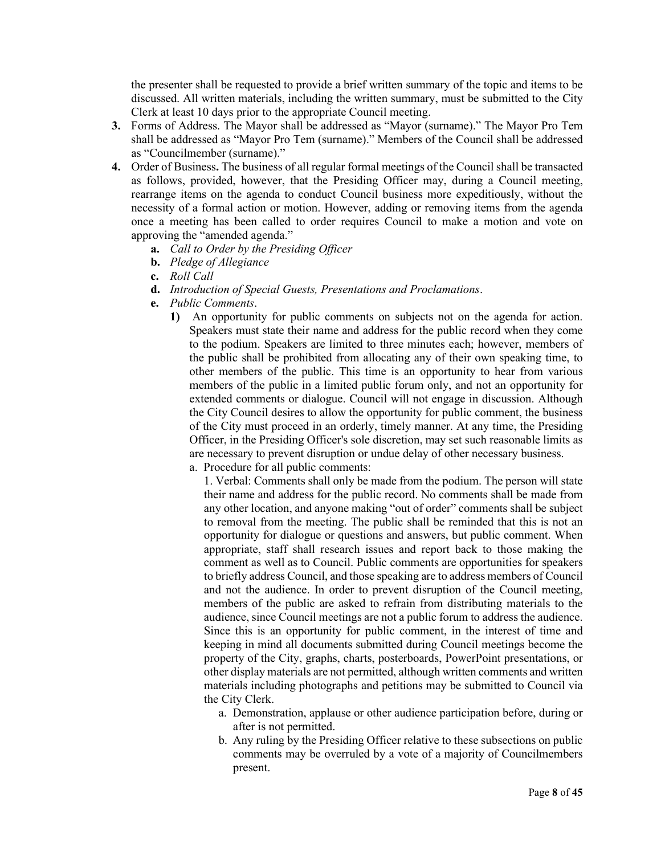the presenter shall be requested to provide a brief written summary of the topic and items to be discussed. All written materials, including the written summary, must be submitted to the City Clerk at least 10 days prior to the appropriate Council meeting.

- **3.** Forms of Address. The Mayor shall be addressed as "Mayor (surname)." The Mayor Pro Tem shall be addressed as "Mayor Pro Tem (surname)." Members of the Council shall be addressed as "Councilmember (surname)."
- **4.** Order of Business**.** The business of all regular formal meetings of the Council shall be transacted as follows, provided, however, that the Presiding Officer may, during a Council meeting, rearrange items on the agenda to conduct Council business more expeditiously, without the necessity of a formal action or motion. However, adding or removing items from the agenda once a meeting has been called to order requires Council to make a motion and vote on approving the "amended agenda."
	- **a.** *Call to Order by the Presiding Officer*
	- **b.** *Pledge of Allegiance*
	- **c.** *Roll Call*
	- **d.** *Introduction of Special Guests, Presentations and Proclamations*.
	- **e.** *Public Comments*.
		- **1)** An opportunity for public comments on subjects not on the agenda for action. Speakers must state their name and address for the public record when they come to the podium. Speakers are limited to three minutes each; however, members of the public shall be prohibited from allocating any of their own speaking time, to other members of the public. This time is an opportunity to hear from various members of the public in a limited public forum only, and not an opportunity for extended comments or dialogue. Council will not engage in discussion. Although the City Council desires to allow the opportunity for public comment, the business of the City must proceed in an orderly, timely manner. At any time, the Presiding Officer, in the Presiding Officer's sole discretion, may set such reasonable limits as are necessary to prevent disruption or undue delay of other necessary business.
			- a. Procedure for all public comments:

1. Verbal: Comments shall only be made from the podium. The person will state their name and address for the public record. No comments shall be made from any other location, and anyone making "out of order" comments shall be subject to removal from the meeting. The public shall be reminded that this is not an opportunity for dialogue or questions and answers, but public comment. When appropriate, staff shall research issues and report back to those making the comment as well as to Council. Public comments are opportunities for speakers to briefly address Council, and those speaking are to address members of Council and not the audience. In order to prevent disruption of the Council meeting, members of the public are asked to refrain from distributing materials to the audience, since Council meetings are not a public forum to address the audience. Since this is an opportunity for public comment, in the interest of time and keeping in mind all documents submitted during Council meetings become the property of the City, graphs, charts, posterboards, PowerPoint presentations, or other display materials are not permitted, although written comments and written materials including photographs and petitions may be submitted to Council via the City Clerk.

- a. Demonstration, applause or other audience participation before, during or after is not permitted.
- b. Any ruling by the Presiding Officer relative to these subsections on public comments may be overruled by a vote of a majority of Councilmembers present.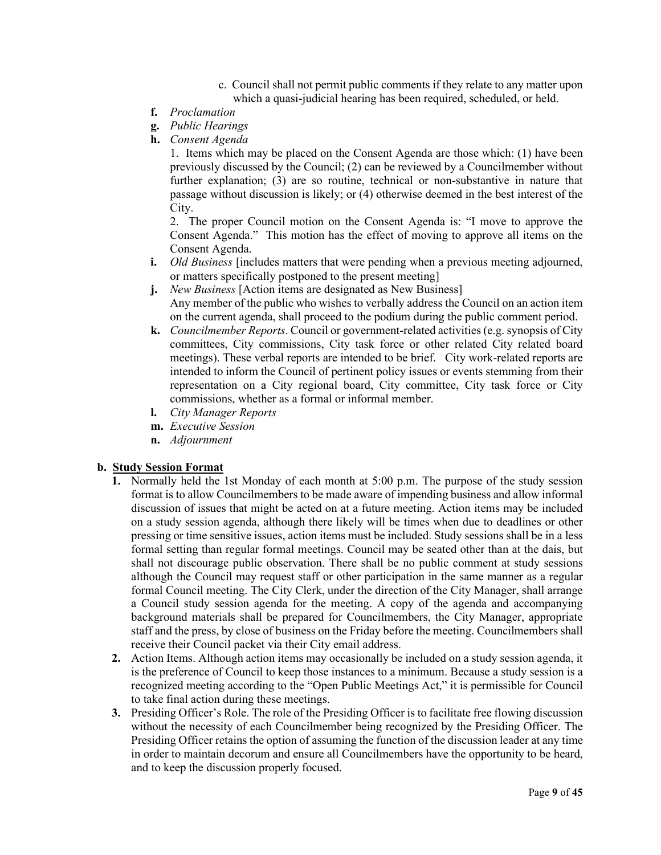- c. Council shall not permit public comments if they relate to any matter upon which a quasi-judicial hearing has been required, scheduled, or held.
- **f.** *Proclamation*
- **g.** *Public Hearings*
- **h.** *Consent Agenda*

1. Items which may be placed on the Consent Agenda are those which: (1) have been previously discussed by the Council; (2) can be reviewed by a Councilmember without further explanation; (3) are so routine, technical or non-substantive in nature that passage without discussion is likely; or (4) otherwise deemed in the best interest of the City.

2. The proper Council motion on the Consent Agenda is: "I move to approve the Consent Agenda." This motion has the effect of moving to approve all items on the Consent Agenda.

- **i.** *Old Business* [includes matters that were pending when a previous meeting adjourned, or matters specifically postponed to the present meeting]
- **j.** *New Business* [Action items are designated as New Business] Any member of the public who wishes to verbally address the Council on an action item on the current agenda, shall proceed to the podium during the public comment period.
- **k.** *Councilmember Reports*. Council or government-related activities (e.g. synopsis of City committees, City commissions, City task force or other related City related board meetings). These verbal reports are intended to be brief. City work-related reports are intended to inform the Council of pertinent policy issues or events stemming from their representation on a City regional board, City committee, City task force or City commissions, whether as a formal or informal member.
- **l.** *City Manager Reports*
- **m.** *Executive Session*
- **n.** *Adjournment*

#### **b. Study Session Format**

- **1.** Normally held the 1st Monday of each month at 5:00 p.m. The purpose of the study session format is to allow Councilmembers to be made aware of impending business and allow informal discussion of issues that might be acted on at a future meeting. Action items may be included on a study session agenda, although there likely will be times when due to deadlines or other pressing or time sensitive issues, action items must be included. Study sessions shall be in a less formal setting than regular formal meetings. Council may be seated other than at the dais, but shall not discourage public observation. There shall be no public comment at study sessions although the Council may request staff or other participation in the same manner as a regular formal Council meeting. The City Clerk, under the direction of the City Manager, shall arrange a Council study session agenda for the meeting. A copy of the agenda and accompanying background materials shall be prepared for Councilmembers, the City Manager, appropriate staff and the press, by close of business on the Friday before the meeting. Councilmembers shall receive their Council packet via their City email address.
- **2.** Action Items. Although action items may occasionally be included on a study session agenda, it is the preference of Council to keep those instances to a minimum. Because a study session is a recognized meeting according to the "Open Public Meetings Act," it is permissible for Council to take final action during these meetings.
- **3.** Presiding Officer's Role. The role of the Presiding Officer is to facilitate free flowing discussion without the necessity of each Councilmember being recognized by the Presiding Officer. The Presiding Officer retains the option of assuming the function of the discussion leader at any time in order to maintain decorum and ensure all Councilmembers have the opportunity to be heard, and to keep the discussion properly focused.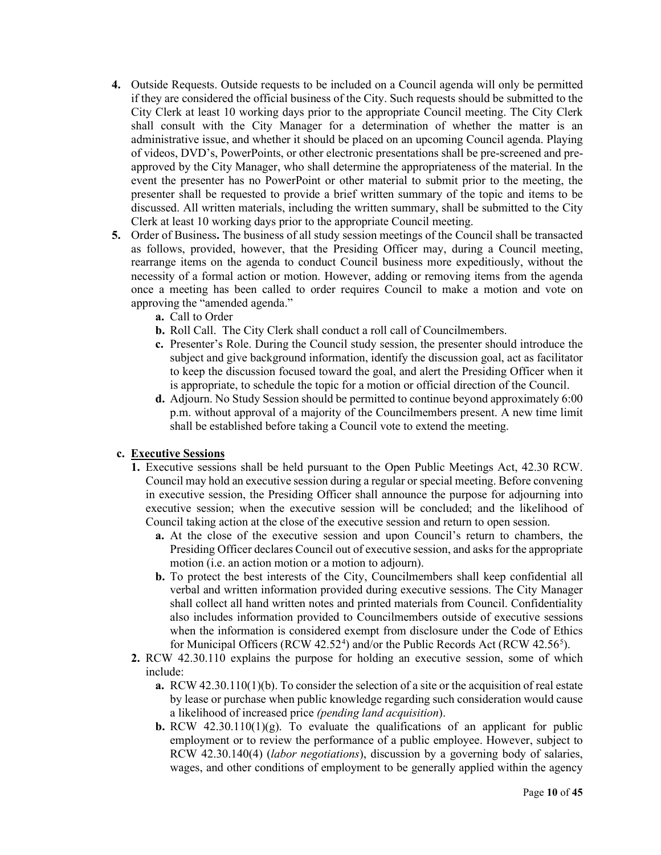- **4.** Outside Requests. Outside requests to be included on a Council agenda will only be permitted if they are considered the official business of the City. Such requests should be submitted to the City Clerk at least 10 working days prior to the appropriate Council meeting. The City Clerk shall consult with the City Manager for a determination of whether the matter is an administrative issue, and whether it should be placed on an upcoming Council agenda. Playing of videos, DVD's, PowerPoints, or other electronic presentations shall be pre-screened and preapproved by the City Manager, who shall determine the appropriateness of the material. In the event the presenter has no PowerPoint or other material to submit prior to the meeting, the presenter shall be requested to provide a brief written summary of the topic and items to be discussed. All written materials, including the written summary, shall be submitted to the City Clerk at least 10 working days prior to the appropriate Council meeting.
- **5.** Order of Business**.** The business of all study session meetings of the Council shall be transacted as follows, provided, however, that the Presiding Officer may, during a Council meeting, rearrange items on the agenda to conduct Council business more expeditiously, without the necessity of a formal action or motion. However, adding or removing items from the agenda once a meeting has been called to order requires Council to make a motion and vote on approving the "amended agenda."
	- **a.** Call to Order
	- **b.** Roll Call. The City Clerk shall conduct a roll call of Councilmembers.
	- **c.** Presenter's Role. During the Council study session, the presenter should introduce the subject and give background information, identify the discussion goal, act as facilitator to keep the discussion focused toward the goal, and alert the Presiding Officer when it is appropriate, to schedule the topic for a motion or official direction of the Council.
	- **d.** Adjourn. No Study Session should be permitted to continue beyond approximately 6:00 p.m. without approval of a majority of the Councilmembers present. A new time limit shall be established before taking a Council vote to extend the meeting.

# **c. Executive Sessions**

- **1.** Executive sessions shall be held pursuant to the Open Public Meetings Act, 42.30 RCW. Council may hold an executive session during a regular or special meeting. Before convening in executive session, the Presiding Officer shall announce the purpose for adjourning into executive session; when the executive session will be concluded; and the likelihood of Council taking action at the close of the executive session and return to open session.
	- **a.** At the close of the executive session and upon Council's return to chambers, the Presiding Officer declares Council out of executive session, and asks for the appropriate motion (i.e. an action motion or a motion to adjourn).
	- **b.** To protect the best interests of the City, Councilmembers shall keep confidential all verbal and written information provided during executive sessions. The City Manager shall collect all hand written notes and printed materials from Council. Confidentiality also includes information provided to Councilmembers outside of executive sessions when the information is considered exempt from disclosure under the Code of Ethics for Municipal Officers (RCW [4](#page-43-3)2.[5](#page-43-4)2<sup>4</sup>) and/or the Public Records Act (RCW 42.56<sup>5</sup>).
- **2.** RCW 42.30.110 explains the purpose for holding an executive session, some of which include:
	- **a.** RCW 42.30.110(1)(b). To consider the selection of a site or the acquisition of real estate by lease or purchase when public knowledge regarding such consideration would cause a likelihood of increased price *(pending land acquisition*).
	- **b.** RCW 42.30.110(1)(g). To evaluate the qualifications of an applicant for public employment or to review the performance of a public employee. However, subject to RCW 42.30.140(4) (*labor negotiations*), discussion by a governing body of salaries, wages, and other conditions of employment to be generally applied within the agency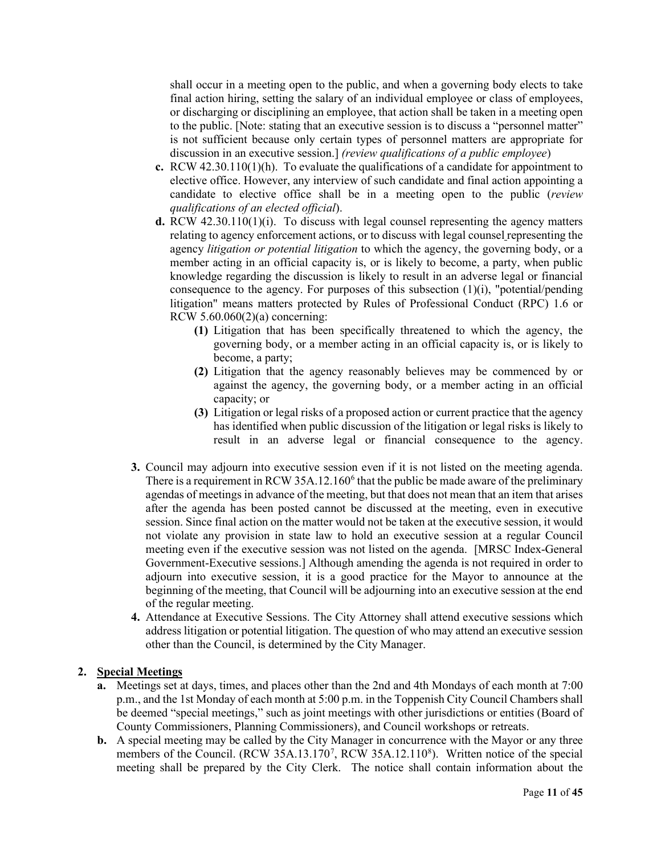shall occur in a meeting open to the public, and when a governing body elects to take final action hiring, setting the salary of an individual employee or class of employees, or discharging or disciplining an employee, that action shall be taken in a meeting open to the public. [Note: stating that an executive session is to discuss a "personnel matter" is not sufficient because only certain types of personnel matters are appropriate for discussion in an executive session.] *(review qualifications of a public employee*)

- **c.** RCW 42.30.110(1)(h). To evaluate the qualifications of a candidate for appointment to elective office. However, any interview of such candidate and final action appointing a candidate to elective office shall be in a meeting open to the public (*review qualifications of an elected official*).
- **d.** RCW 42.30.110(1)(i). To discuss with legal counsel representing the agency matters relating to agency enforcement actions, or to discuss with legal counsel representing the agency *litigation or potential litigation* to which the agency, the governing body, or a member acting in an official capacity is, or is likely to become, a party, when public knowledge regarding the discussion is likely to result in an adverse legal or financial consequence to the agency. For purposes of this subsection (1)(i), "potential/pending litigation" means matters protected by Rules of Professional Conduct (RPC) 1.6 or RCW 5.60.060(2)(a) concerning:
	- **(1)** Litigation that has been specifically threatened to which the agency, the governing body, or a member acting in an official capacity is, or is likely to become, a party;
	- **(2)** Litigation that the agency reasonably believes may be commenced by or against the agency, the governing body, or a member acting in an official capacity; or
	- **(3)** Litigation or legal risks of a proposed action or current practice that the agency has identified when public discussion of the litigation or legal risks is likely to result in an adverse legal or financial consequence to the agency.
- **3.** Council may adjourn into executive session even if it is not listed on the meeting agenda. There is a requirement in RCW 35A.12.1[6](#page-43-5)0 $<sup>6</sup>$  that the public be made aware of the preliminary</sup> agendas of meetings in advance of the meeting, but that does not mean that an item that arises after the agenda has been posted cannot be discussed at the meeting, even in executive session. Since final action on the matter would not be taken at the executive session, it would not violate any provision in state law to hold an executive session at a regular Council meeting even if the executive session was not listed on the agenda. [MRSC Index-General Government-Executive sessions.] Although amending the agenda is not required in order to adjourn into executive session, it is a good practice for the Mayor to announce at the beginning of the meeting, that Council will be adjourning into an executive session at the end of the regular meeting.
- **4.** Attendance at Executive Sessions. The City Attorney shall attend executive sessions which address litigation or potential litigation. The question of who may attend an executive session other than the Council, is determined by the City Manager.

# **2. Special Meetings**

- **a.** Meetings set at days, times, and places other than the 2nd and 4th Mondays of each month at 7:00 p.m., and the 1st Monday of each month at 5:00 p.m. in the Toppenish City Council Chambers shall be deemed "special meetings," such as joint meetings with other jurisdictions or entities (Board of County Commissioners, Planning Commissioners), and Council workshops or retreats.
- **b.** A special meeting may be called by the City Manager in concurrence with the Mayor or any three members of the Council. (RCW 35A.13.1[7](#page-43-6)0<sup>7</sup>, RCW 35A.12.110<sup>8</sup>). Written notice of the special meeting shall be prepared by the City Clerk. The notice shall contain information about the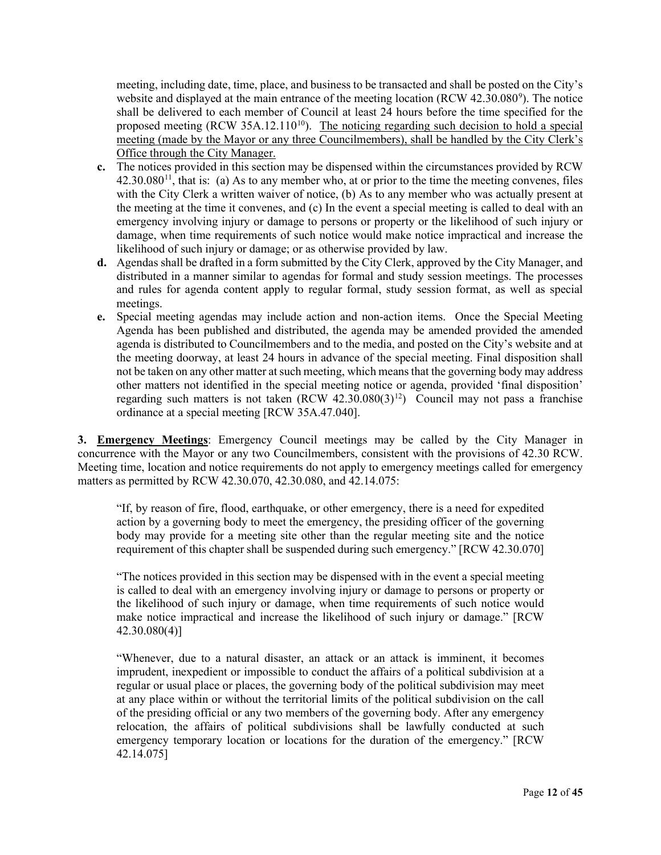meeting, including date, time, place, and business to be transacted and shall be posted on the City's website and displayed at the main entrance of the meeting location (RCW  $42.30.080^{\circ}$ ). The notice shall be delivered to each member of Council at least 24 hours before the time specified for the proposed meeting  $(RCW 35A.12.110^{10})$  $(RCW 35A.12.110^{10})$  $(RCW 35A.12.110^{10})$ . The noticing regarding such decision to hold a special meeting (made by the Mayor or any three Councilmembers), shall be handled by the City Clerk's Office through the City Manager.

- **c.** The notices provided in this section may be dispensed within the circumstances provided by RCW  $42.30.080<sup>11</sup>$  $42.30.080<sup>11</sup>$  $42.30.080<sup>11</sup>$ , that is: (a) As to any member who, at or prior to the time the meeting convenes, files with the City Clerk a written waiver of notice, (b) As to any member who was actually present at the meeting at the time it convenes, and (c) In the event a special meeting is called to deal with an emergency involving injury or damage to persons or property or the likelihood of such injury or damage, when time requirements of such notice would make notice impractical and increase the likelihood of such injury or damage; or as otherwise provided by law.
- **d.** Agendas shall be drafted in a form submitted by the City Clerk, approved by the City Manager, and distributed in a manner similar to agendas for formal and study session meetings. The processes and rules for agenda content apply to regular formal, study session format, as well as special meetings.
- **e.** Special meeting agendas may include action and non-action items. Once the Special Meeting Agenda has been published and distributed, the agenda may be amended provided the amended agenda is distributed to Councilmembers and to the media, and posted on the City's website and at the meeting doorway, at least 24 hours in advance of the special meeting. Final disposition shall not be taken on any other matter at such meeting, which means that the governing body may address other matters not identified in the special meeting notice or agenda, provided 'final disposition' regarding such matters is not taken  $(RCW 42.30.080(3)^{12})$  Council may not pass a franchise ordinance at a special meeting [RCW 35A.47.040].

**3. Emergency Meetings**: Emergency Council meetings may be called by the City Manager in concurrence with the Mayor or any two Councilmembers, consistent with the provisions of 42.30 RCW. Meeting time, location and notice requirements do not apply to emergency meetings called for emergency matters as permitted by RCW 42.30.070, 42.30.080, and 42.14.075:

"If, by reason of fire, flood, earthquake, or other emergency, there is a need for expedited action by a governing body to meet the emergency, the presiding officer of the governing body may provide for a meeting site other than the regular meeting site and the notice requirement of this chapter shall be suspended during such emergency." [RCW 42.30.070]

"The notices provided in this section may be dispensed with in the event a special meeting is called to deal with an emergency involving injury or damage to persons or property or the likelihood of such injury or damage, when time requirements of such notice would make notice impractical and increase the likelihood of such injury or damage." [RCW 42.30.080(4)]

"Whenever, due to a natural disaster, an attack or an attack is imminent, it becomes imprudent, inexpedient or impossible to conduct the affairs of a political subdivision at a regular or usual place or places, the governing body of the political subdivision may meet at any place within or without the territorial limits of the political subdivision on the call of the presiding official or any two members of the governing body. After any emergency relocation, the affairs of political subdivisions shall be lawfully conducted at such emergency temporary location or locations for the duration of the emergency." [RCW 42.14.075]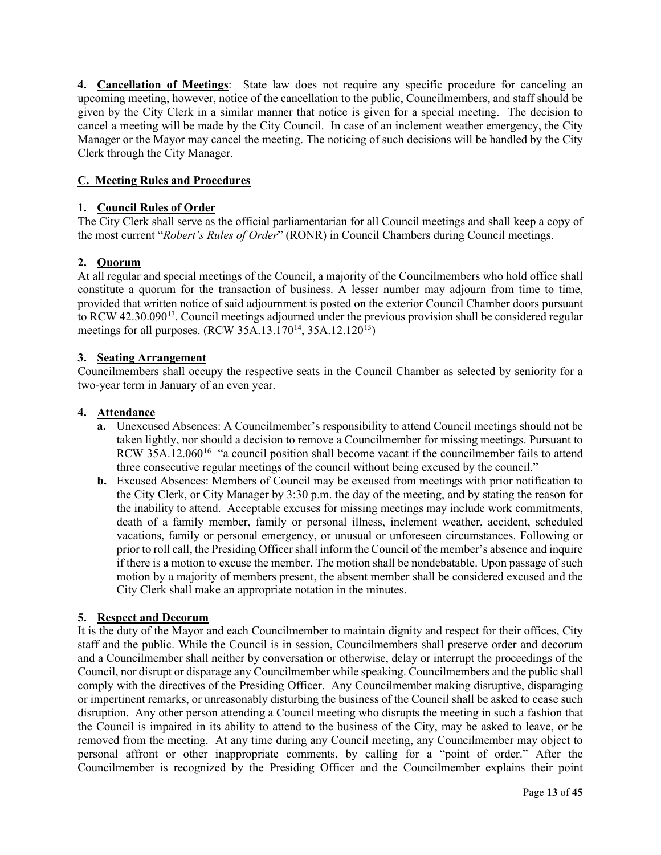**4. Cancellation of Meetings**: State law does not require any specific procedure for canceling an upcoming meeting, however, notice of the cancellation to the public, Councilmembers, and staff should be given by the City Clerk in a similar manner that notice is given for a special meeting. The decision to cancel a meeting will be made by the City Council. In case of an inclement weather emergency, the City Manager or the Mayor may cancel the meeting. The noticing of such decisions will be handled by the City Clerk through the City Manager.

# **C. Meeting Rules and Procedures**

# **1. Council Rules of Order**

The City Clerk shall serve as the official parliamentarian for all Council meetings and shall keep a copy of the most current "*Robert's Rules of Order*" (RONR) in Council Chambers during Council meetings.

# **2. Quorum**

At all regular and special meetings of the Council, a majority of the Councilmembers who hold office shall constitute a quorum for the transaction of business. A lesser number may adjourn from time to time, provided that written notice of said adjournment is posted on the exterior Council Chamber doors pursuant to RCW 42.30.090<sup>[13](#page-43-12)</sup>. Council meetings adjourned under the previous provision shall be considered regular meetings for all purposes. (RCW 35A.13.170<sup>14</sup>, 35A.12.120<sup>[15](#page-43-14)</sup>)

# **3. Seating Arrangement**

Councilmembers shall occupy the respective seats in the Council Chamber as selected by seniority for a two-year term in January of an even year.

# **4. Attendance**

- **a.** Unexcused Absences: A Councilmember's responsibility to attend Council meetings should not be taken lightly, nor should a decision to remove a Councilmember for missing meetings. Pursuant to RCW 35A.12.060<sup>[16](#page-43-15)</sup> "a council position shall become vacant if the councilmember fails to attend three consecutive regular meetings of the council without being excused by the council."
- **b.** Excused Absences: Members of Council may be excused from meetings with prior notification to the City Clerk, or City Manager by 3:30 p.m. the day of the meeting, and by stating the reason for the inability to attend. Acceptable excuses for missing meetings may include work commitments, death of a family member, family or personal illness, inclement weather, accident, scheduled vacations, family or personal emergency, or unusual or unforeseen circumstances. Following or prior to roll call, the Presiding Officer shall inform the Council of the member's absence and inquire if there is a motion to excuse the member. The motion shall be nondebatable. Upon passage of such motion by a majority of members present, the absent member shall be considered excused and the City Clerk shall make an appropriate notation in the minutes.

# **5. Respect and Decorum**

It is the duty of the Mayor and each Councilmember to maintain dignity and respect for their offices, City staff and the public. While the Council is in session, Councilmembers shall preserve order and decorum and a Councilmember shall neither by conversation or otherwise, delay or interrupt the proceedings of the Council, nor disrupt or disparage any Councilmember while speaking. Councilmembers and the public shall comply with the directives of the Presiding Officer. Any Councilmember making disruptive, disparaging or impertinent remarks, or unreasonably disturbing the business of the Council shall be asked to cease such disruption. Any other person attending a Council meeting who disrupts the meeting in such a fashion that the Council is impaired in its ability to attend to the business of the City, may be asked to leave, or be removed from the meeting. At any time during any Council meeting, any Councilmember may object to personal affront or other inappropriate comments, by calling for a "point of order." After the Councilmember is recognized by the Presiding Officer and the Councilmember explains their point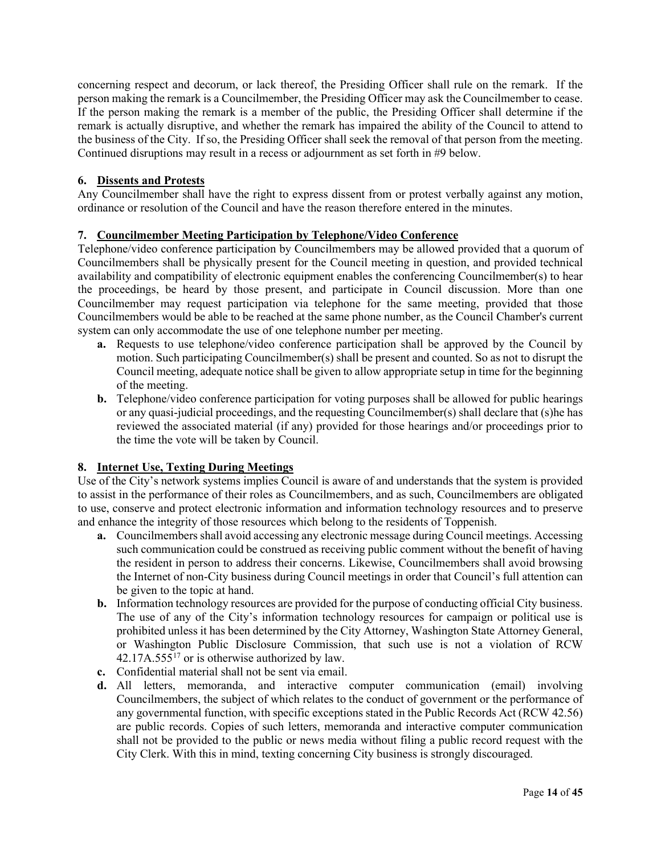concerning respect and decorum, or lack thereof, the Presiding Officer shall rule on the remark. If the person making the remark is a Councilmember, the Presiding Officer may ask the Councilmember to cease. If the person making the remark is a member of the public, the Presiding Officer shall determine if the remark is actually disruptive, and whether the remark has impaired the ability of the Council to attend to the business of the City. If so, the Presiding Officer shall seek the removal of that person from the meeting. Continued disruptions may result in a recess or adjournment as set forth in #9 below.

# **6. Dissents and Protests**

Any Councilmember shall have the right to express dissent from or protest verbally against any motion, ordinance or resolution of the Council and have the reason therefore entered in the minutes.

# **7. Councilmember Meeting Participation by Telephone/Video Conference**

Telephone/video conference participation by Councilmembers may be allowed provided that a quorum of Councilmembers shall be physically present for the Council meeting in question, and provided technical availability and compatibility of electronic equipment enables the conferencing Councilmember(s) to hear the proceedings, be heard by those present, and participate in Council discussion. More than one Councilmember may request participation via telephone for the same meeting, provided that those Councilmembers would be able to be reached at the same phone number, as the Council Chamber's current system can only accommodate the use of one telephone number per meeting.

- **a.** Requests to use telephone/video conference participation shall be approved by the Council by motion. Such participating Councilmember(s) shall be present and counted. So as not to disrupt the Council meeting, adequate notice shall be given to allow appropriate setup in time for the beginning of the meeting.
- **b.** Telephone/video conference participation for voting purposes shall be allowed for public hearings or any quasi-judicial proceedings, and the requesting Councilmember(s) shall declare that (s)he has reviewed the associated material (if any) provided for those hearings and/or proceedings prior to the time the vote will be taken by Council.

# **8. Internet Use, Texting During Meetings**

Use of the City's network systems implies Council is aware of and understands that the system is provided to assist in the performance of their roles as Councilmembers, and as such, Councilmembers are obligated to use, conserve and protect electronic information and information technology resources and to preserve and enhance the integrity of those resources which belong to the residents of Toppenish.

- **a.** Councilmembers shall avoid accessing any electronic message during Council meetings. Accessing such communication could be construed as receiving public comment without the benefit of having the resident in person to address their concerns. Likewise, Councilmembers shall avoid browsing the Internet of non-City business during Council meetings in order that Council's full attention can be given to the topic at hand.
- **b.** Information technology resources are provided for the purpose of conducting official City business. The use of any of the City's information technology resources for campaign or political use is prohibited unless it has been determined by the City Attorney, Washington State Attorney General, or Washington Public Disclosure Commission, that such use is not a violation of RCW  $42.17A.555^{17}$  or is otherwise authorized by law.
- **c.** Confidential material shall not be sent via email.
- **d.** All letters, memoranda, and interactive computer communication (email) involving Councilmembers, the subject of which relates to the conduct of government or the performance of any governmental function, with specific exceptions stated in the Public Records Act (RCW 42.56) are public records. Copies of such letters, memoranda and interactive computer communication shall not be provided to the public or news media without filing a public record request with the City Clerk. With this in mind, texting concerning City business is strongly discouraged.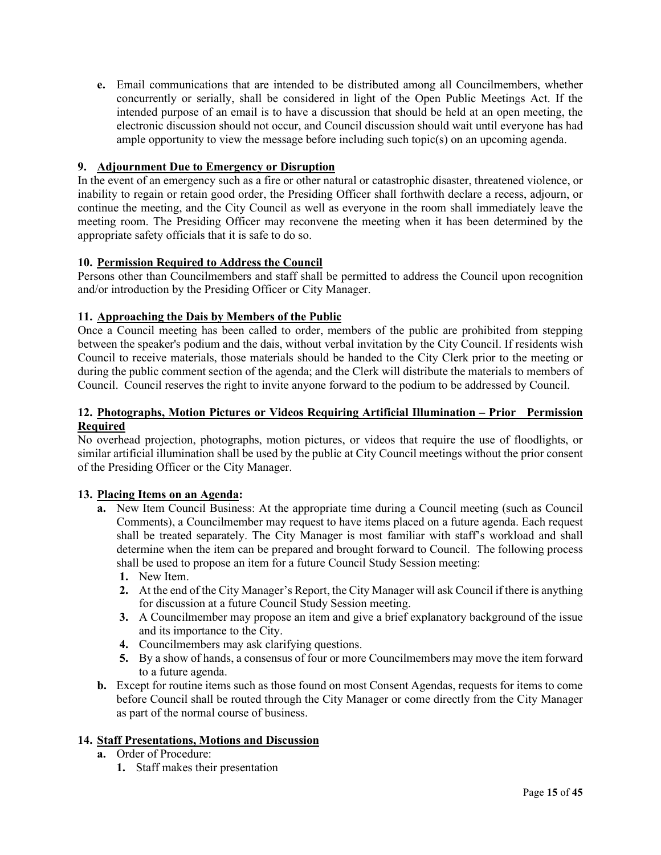**e.** Email communications that are intended to be distributed among all Councilmembers, whether concurrently or serially, shall be considered in light of the Open Public Meetings Act. If the intended purpose of an email is to have a discussion that should be held at an open meeting, the electronic discussion should not occur, and Council discussion should wait until everyone has had ample opportunity to view the message before including such topic $(s)$  on an upcoming agenda.

# **9. Adjournment Due to Emergency or Disruption**

In the event of an emergency such as a fire or other natural or catastrophic disaster, threatened violence, or inability to regain or retain good order, the Presiding Officer shall forthwith declare a recess, adjourn, or continue the meeting, and the City Council as well as everyone in the room shall immediately leave the meeting room. The Presiding Officer may reconvene the meeting when it has been determined by the appropriate safety officials that it is safe to do so.

# **10. Permission Required to Address the Council**

Persons other than Councilmembers and staff shall be permitted to address the Council upon recognition and/or introduction by the Presiding Officer or City Manager.

# **11. Approaching the Dais by Members of the Public**

Once a Council meeting has been called to order, members of the public are prohibited from stepping between the speaker's podium and the dais, without verbal invitation by the City Council. If residents wish Council to receive materials, those materials should be handed to the City Clerk prior to the meeting or during the public comment section of the agenda; and the Clerk will distribute the materials to members of Council. Council reserves the right to invite anyone forward to the podium to be addressed by Council.

# **12. Photographs, Motion Pictures or Videos Requiring Artificial Illumination – Prior Permission Required**

No overhead projection, photographs, motion pictures, or videos that require the use of floodlights, or similar artificial illumination shall be used by the public at City Council meetings without the prior consent of the Presiding Officer or the City Manager.

# **13. Placing Items on an Agenda:**

- **a.** New Item Council Business: At the appropriate time during a Council meeting (such as Council Comments), a Councilmember may request to have items placed on a future agenda. Each request shall be treated separately. The City Manager is most familiar with staff's workload and shall determine when the item can be prepared and brought forward to Council. The following process shall be used to propose an item for a future Council Study Session meeting:
	- **1.** New Item.
	- **2.** At the end of the City Manager's Report, the City Manager will ask Council if there is anything for discussion at a future Council Study Session meeting.
	- **3.** A Councilmember may propose an item and give a brief explanatory background of the issue and its importance to the City.
	- **4.** Councilmembers may ask clarifying questions.
	- **5.** By a show of hands, a consensus of four or more Councilmembers may move the item forward to a future agenda.
- **b.** Except for routine items such as those found on most Consent Agendas, requests for items to come before Council shall be routed through the City Manager or come directly from the City Manager as part of the normal course of business.

# **14. Staff Presentations, Motions and Discussion**

- **a.** Order of Procedure:
	- **1.** Staff makes their presentation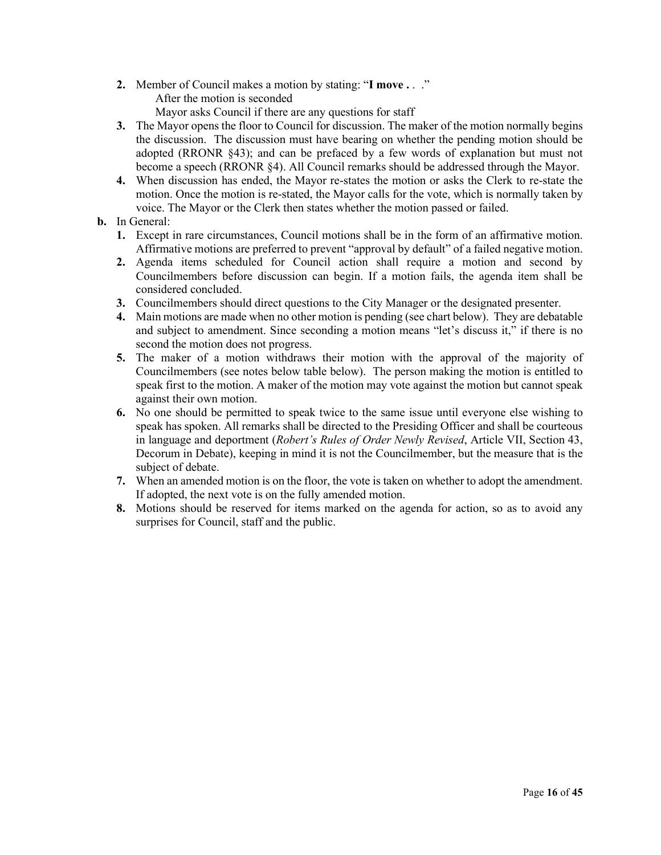- **2.** Member of Council makes a motion by stating: "**I move .** . ." After the motion is seconded Mayor asks Council if there are any questions for staff
- **3.** The Mayor opens the floor to Council for discussion. The maker of the motion normally begins the discussion. The discussion must have bearing on whether the pending motion should be adopted (RRONR §43); and can be prefaced by a few words of explanation but must not become a speech (RRONR §4). All Council remarks should be addressed through the Mayor.
- **4.** When discussion has ended, the Mayor re-states the motion or asks the Clerk to re-state the motion. Once the motion is re-stated, the Mayor calls for the vote, which is normally taken by voice. The Mayor or the Clerk then states whether the motion passed or failed.
- **b.** In General:
	- **1.** Except in rare circumstances, Council motions shall be in the form of an affirmative motion. Affirmative motions are preferred to prevent "approval by default" of a failed negative motion.
	- **2.** Agenda items scheduled for Council action shall require a motion and second by Councilmembers before discussion can begin. If a motion fails, the agenda item shall be considered concluded.
	- **3.** Councilmembers should direct questions to the City Manager or the designated presenter.
	- **4.** Main motions are made when no other motion is pending (see chart below). They are debatable and subject to amendment. Since seconding a motion means "let's discuss it," if there is no second the motion does not progress.
	- **5.** The maker of a motion withdraws their motion with the approval of the majority of Councilmembers (see notes below table below). The person making the motion is entitled to speak first to the motion. A maker of the motion may vote against the motion but cannot speak against their own motion.
	- **6.** No one should be permitted to speak twice to the same issue until everyone else wishing to speak has spoken. All remarks shall be directed to the Presiding Officer and shall be courteous in language and deportment (*Robert's Rules of Order Newly Revised*, Article VII, Section 43, Decorum in Debate), keeping in mind it is not the Councilmember, but the measure that is the subject of debate.
	- **7.** When an amended motion is on the floor, the vote is taken on whether to adopt the amendment. If adopted, the next vote is on the fully amended motion.
	- **8.** Motions should be reserved for items marked on the agenda for action, so as to avoid any surprises for Council, staff and the public.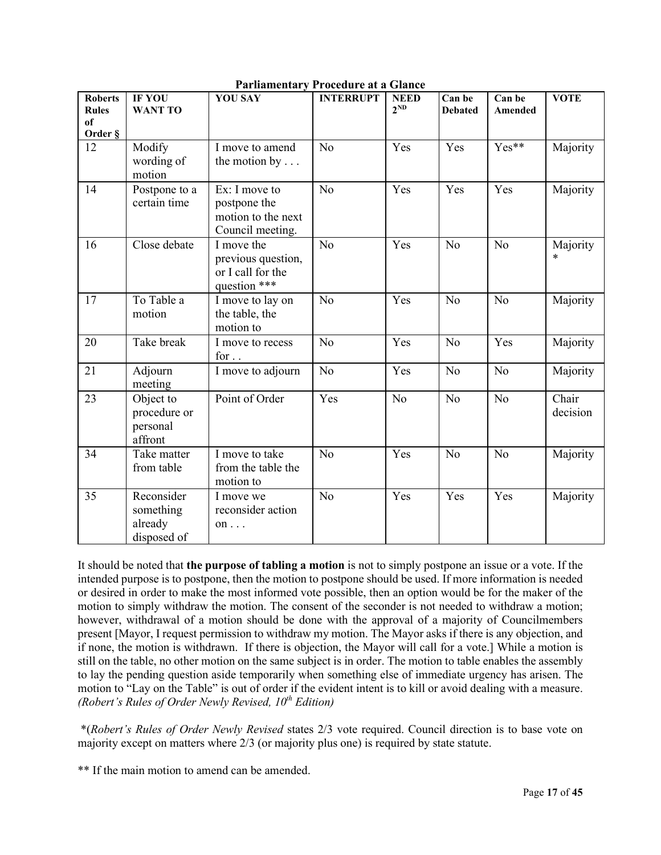| <b>Roberts</b><br><b>Rules</b><br>of | IF YOU<br><b>WANT TO</b>                          | <b>YOU SAY</b>                                                          | <b>INTERRUPT</b> | <b>NEED</b><br>$2^{ND}$ | Can be<br><b>Debated</b> | Can be<br>Amended | <b>VOTE</b>        |
|--------------------------------------|---------------------------------------------------|-------------------------------------------------------------------------|------------------|-------------------------|--------------------------|-------------------|--------------------|
| Order §                              |                                                   |                                                                         |                  |                         |                          |                   |                    |
| 12                                   | Modify<br>wording of<br>motion                    | I move to amend<br>the motion by $\dots$                                | N <sub>o</sub>   | Yes                     | Yes                      | Yes**             | Majority           |
| 14                                   | Postpone to a<br>certain time                     | Ex: I move to<br>postpone the<br>motion to the next<br>Council meeting. | N <sub>o</sub>   | Yes                     | Yes                      | Yes               | Majority           |
| 16                                   | Close debate                                      | I move the<br>previous question,<br>or I call for the<br>question ***   | N <sub>o</sub>   | Yes                     | N <sub>o</sub>           | N <sub>o</sub>    | Majority<br>$\ast$ |
| 17                                   | To Table a<br>motion                              | I move to lay on<br>the table, the<br>motion to                         | N <sub>o</sub>   | Yes                     | N <sub>o</sub>           | N <sub>o</sub>    | Majority           |
| 20                                   | Take break                                        | I move to recess<br>for $\ldots$                                        | N <sub>o</sub>   | Yes                     | N <sub>o</sub>           | Yes               | Majority           |
| 21                                   | Adjourn<br>meeting                                | I move to adjourn                                                       | N <sub>o</sub>   | Yes                     | No                       | N <sub>o</sub>    | Majority           |
| 23                                   | Object to<br>procedure or<br>personal<br>affront  | Point of Order                                                          | Yes              | No                      | N <sub>o</sub>           | N <sub>o</sub>    | Chair<br>decision  |
| 34                                   | Take matter<br>from table                         | I move to take<br>from the table the<br>motion to                       | N <sub>o</sub>   | Yes                     | No                       | N <sub>o</sub>    | Majority           |
| 35                                   | Reconsider<br>something<br>already<br>disposed of | I move we<br>reconsider action<br>on $\ldots$                           | No               | Yes                     | Yes                      | Yes               | Majority           |

**Parliamentary Procedure at a Glance**

# It should be noted that **the purpose of tabling a motion** is not to simply postpone an issue or a vote. If the intended purpose is to postpone, then the motion to postpone should be used. If more information is needed or desired in order to make the most informed vote possible, then an option would be for the maker of the motion to simply withdraw the motion. The consent of the seconder is not needed to withdraw a motion; however, withdrawal of a motion should be done with the approval of a majority of Councilmembers present [Mayor, I request permission to withdraw my motion. The Mayor asks if there is any objection, and if none, the motion is withdrawn. If there is objection, the Mayor will call for a vote.] While a motion is still on the table, no other motion on the same subject is in order. The motion to table enables the assembly to lay the pending question aside temporarily when something else of immediate urgency has arisen. The motion to "Lay on the Table" is out of order if the evident intent is to kill or avoid dealing with a measure. *(Robert's Rules of Order Newly Revised, 10th Edition)*

\*(*Robert's Rules of Order Newly Revised* states 2/3 vote required. Council direction is to base vote on majority except on matters where 2/3 (or majority plus one) is required by state statute.

\*\* If the main motion to amend can be amended.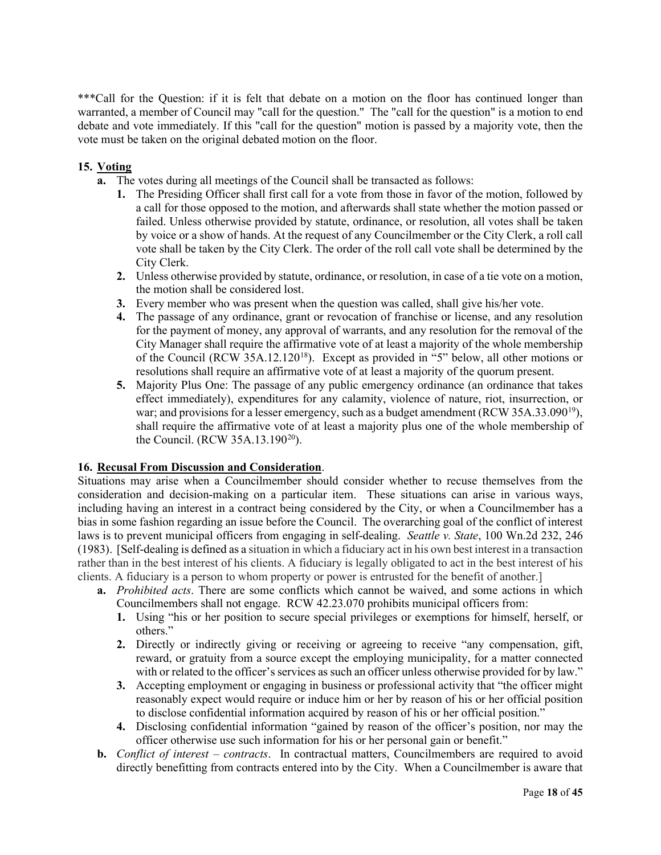\*\*\*Call for the Question: if it is felt that debate on a motion on the floor has continued longer than warranted, a member of Council may "call for the question." The "call for the question" is a motion to end debate and vote immediately. If this "call for the question" motion is passed by a majority vote, then the vote must be taken on the original debated motion on the floor.

# **15. Voting**

- **a.** The votes during all meetings of the Council shall be transacted as follows:
	- **1.** The Presiding Officer shall first call for a vote from those in favor of the motion, followed by a call for those opposed to the motion, and afterwards shall state whether the motion passed or failed. Unless otherwise provided by statute, ordinance, or resolution, all votes shall be taken by voice or a show of hands. At the request of any Councilmember or the City Clerk, a roll call vote shall be taken by the City Clerk. The order of the roll call vote shall be determined by the City Clerk.
	- **2.** Unless otherwise provided by statute, ordinance, or resolution, in case of a tie vote on a motion, the motion shall be considered lost.
	- **3.** Every member who was present when the question was called, shall give his/her vote.
	- **4.** The passage of any ordinance, grant or revocation of franchise or license, and any resolution for the payment of money, any approval of warrants, and any resolution for the removal of the City Manager shall require the affirmative vote of at least a majority of the whole membership of the Council (RCW 35A.12.120[18](#page-43-17)). Except as provided in "5" below, all other motions or resolutions shall require an affirmative vote of at least a majority of the quorum present.
	- **5.** Majority Plus One: The passage of any public emergency ordinance (an ordinance that takes effect immediately), expenditures for any calamity, violence of nature, riot, insurrection, or war; and provisions for a lesser emergency, such as a budget amendment (RCW 35A.33.090<sup>19</sup>), shall require the affirmative vote of at least a majority plus one of the whole membership of the Council. (RCW 35A.13.190<sup>[20](#page-43-19)</sup>).

# **16. Recusal From Discussion and Consideration**.

Situations may arise when a Councilmember should consider whether to recuse themselves from the consideration and decision-making on a particular item. These situations can arise in various ways, including having an interest in a contract being considered by the City, or when a Councilmember has a bias in some fashion regarding an issue before the Council. The overarching goal of the conflict of interest laws is to prevent municipal officers from engaging in self-dealing. *Seattle v. State*, 100 Wn.2d 232, 246 (1983). [Self-dealing is defined as a situation in which a fiduciary act in his own best interest in a transaction rather than in the best interest of his clients. A fiduciary is legally obligated to act in the best interest of his clients. A fiduciary is a person to whom property or power is entrusted for the benefit of another.]

- **a.** *Prohibited acts*. There are some conflicts which cannot be waived, and some actions in which Councilmembers shall not engage. RCW 42.23.070 prohibits municipal officers from:
	- **1.** Using "his or her position to secure special privileges or exemptions for himself, herself, or others."
	- **2.** Directly or indirectly giving or receiving or agreeing to receive "any compensation, gift, reward, or gratuity from a source except the employing municipality, for a matter connected with or related to the officer's services as such an officer unless otherwise provided for by law."
	- **3.** Accepting employment or engaging in business or professional activity that "the officer might reasonably expect would require or induce him or her by reason of his or her official position to disclose confidential information acquired by reason of his or her official position."
	- **4.** Disclosing confidential information "gained by reason of the officer's position, nor may the officer otherwise use such information for his or her personal gain or benefit."
- **b.** *Conflict of interest – contracts*. In contractual matters, Councilmembers are required to avoid directly benefitting from contracts entered into by the City. When a Councilmember is aware that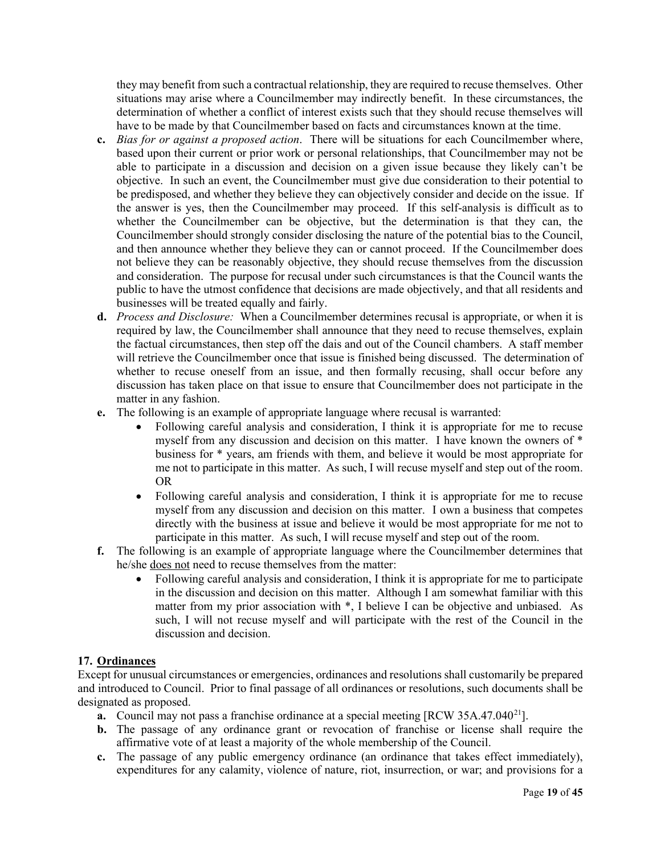they may benefit from such a contractual relationship, they are required to recuse themselves. Other situations may arise where a Councilmember may indirectly benefit. In these circumstances, the determination of whether a conflict of interest exists such that they should recuse themselves will have to be made by that Councilmember based on facts and circumstances known at the time.

- **c.** *Bias for or against a proposed action*. There will be situations for each Councilmember where, based upon their current or prior work or personal relationships, that Councilmember may not be able to participate in a discussion and decision on a given issue because they likely can't be objective. In such an event, the Councilmember must give due consideration to their potential to be predisposed, and whether they believe they can objectively consider and decide on the issue. If the answer is yes, then the Councilmember may proceed. If this self-analysis is difficult as to whether the Councilmember can be objective, but the determination is that they can, the Councilmember should strongly consider disclosing the nature of the potential bias to the Council, and then announce whether they believe they can or cannot proceed. If the Councilmember does not believe they can be reasonably objective, they should recuse themselves from the discussion and consideration. The purpose for recusal under such circumstances is that the Council wants the public to have the utmost confidence that decisions are made objectively, and that all residents and businesses will be treated equally and fairly.
- **d.** *Process and Disclosure:* When a Councilmember determines recusal is appropriate, or when it is required by law, the Councilmember shall announce that they need to recuse themselves, explain the factual circumstances, then step off the dais and out of the Council chambers. A staff member will retrieve the Councilmember once that issue is finished being discussed. The determination of whether to recuse oneself from an issue, and then formally recusing, shall occur before any discussion has taken place on that issue to ensure that Councilmember does not participate in the matter in any fashion.
- **e.** The following is an example of appropriate language where recusal is warranted:
	- Following careful analysis and consideration, I think it is appropriate for me to recuse myself from any discussion and decision on this matter. I have known the owners of \* business for \* years, am friends with them, and believe it would be most appropriate for me not to participate in this matter. As such, I will recuse myself and step out of the room. OR
	- Following careful analysis and consideration, I think it is appropriate for me to recuse myself from any discussion and decision on this matter. I own a business that competes directly with the business at issue and believe it would be most appropriate for me not to participate in this matter. As such, I will recuse myself and step out of the room.
- **f.** The following is an example of appropriate language where the Councilmember determines that he/she does not need to recuse themselves from the matter:
	- Following careful analysis and consideration, I think it is appropriate for me to participate in the discussion and decision on this matter. Although I am somewhat familiar with this matter from my prior association with \*, I believe I can be objective and unbiased. As such, I will not recuse myself and will participate with the rest of the Council in the discussion and decision.

# **17. Ordinances**

Except for unusual circumstances or emergencies, ordinances and resolutions shall customarily be prepared and introduced to Council. Prior to final passage of all ordinances or resolutions, such documents shall be designated as proposed.

- **a.** Council may not pass a franchise ordinance at a special meeting [RCW 35A.47.040<sup>[21](#page-43-20)</sup>].
- **b.** The passage of any ordinance grant or revocation of franchise or license shall require the affirmative vote of at least a majority of the whole membership of the Council.
- **c.** The passage of any public emergency ordinance (an ordinance that takes effect immediately), expenditures for any calamity, violence of nature, riot, insurrection, or war; and provisions for a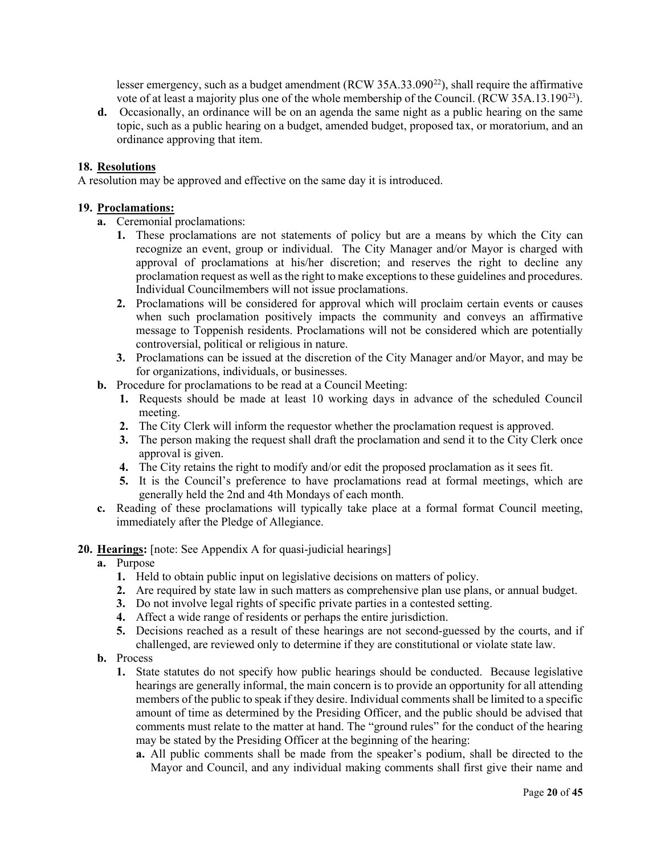lesser emergency, such as a budget amendment (RCW  $35A.33.090^{22}$ ), shall require the affirmative vote of at least a majority plus one of the whole membership of the Council. (RCW 35A.13.190<sup>23</sup>).

**d.** Occasionally, an ordinance will be on an agenda the same night as a public hearing on the same topic, such as a public hearing on a budget, amended budget, proposed tax, or moratorium, and an ordinance approving that item.

# **18. Resolutions**

A resolution may be approved and effective on the same day it is introduced.

### **19. Proclamations:**

- **a.** Ceremonial proclamations:
	- **1.** These proclamations are not statements of policy but are a means by which the City can recognize an event, group or individual. The City Manager and/or Mayor is charged with approval of proclamations at his/her discretion; and reserves the right to decline any proclamation request as well as the right to make exceptions to these guidelines and procedures. Individual Councilmembers will not issue proclamations.
	- **2.** Proclamations will be considered for approval which will proclaim certain events or causes when such proclamation positively impacts the community and conveys an affirmative message to Toppenish residents. Proclamations will not be considered which are potentially controversial, political or religious in nature.
	- **3.** Proclamations can be issued at the discretion of the City Manager and/or Mayor, and may be for organizations, individuals, or businesses.
- **b.** Procedure for proclamations to be read at a Council Meeting:
	- **1.** Requests should be made at least 10 working days in advance of the scheduled Council meeting.
	- **2.** The City Clerk will inform the requestor whether the proclamation request is approved.
	- **3.** The person making the request shall draft the proclamation and send it to the City Clerk once approval is given.
	- **4.** The City retains the right to modify and/or edit the proposed proclamation as it sees fit.
	- **5.** It is the Council's preference to have proclamations read at formal meetings, which are generally held the 2nd and 4th Mondays of each month.
- **c.** Reading of these proclamations will typically take place at a formal format Council meeting, immediately after the Pledge of Allegiance.

# **20. Hearings:** [note: See Appendix A for quasi-judicial hearings]

- **a.** Purpose
	- **1.** Held to obtain public input on legislative decisions on matters of policy.
	- **2.** Are required by state law in such matters as comprehensive plan use plans, or annual budget.
	- **3.** Do not involve legal rights of specific private parties in a contested setting.
	- **4.** Affect a wide range of residents or perhaps the entire jurisdiction.
	- **5.** Decisions reached as a result of these hearings are not second-guessed by the courts, and if challenged, are reviewed only to determine if they are constitutional or violate state law.
- **b.** Process
	- **1.** State statutes do not specify how public hearings should be conducted. Because legislative hearings are generally informal, the main concern is to provide an opportunity for all attending members of the public to speak if they desire. Individual comments shall be limited to a specific amount of time as determined by the Presiding Officer, and the public should be advised that comments must relate to the matter at hand. The "ground rules" for the conduct of the hearing may be stated by the Presiding Officer at the beginning of the hearing:
		- **a.** All public comments shall be made from the speaker's podium, shall be directed to the Mayor and Council, and any individual making comments shall first give their name and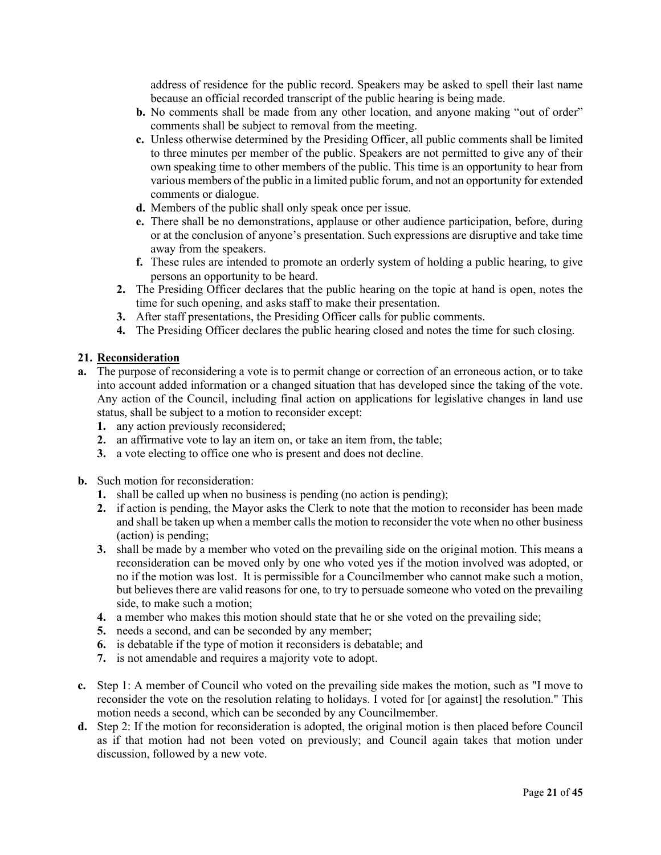address of residence for the public record. Speakers may be asked to spell their last name because an official recorded transcript of the public hearing is being made.

- **b.** No comments shall be made from any other location, and anyone making "out of order" comments shall be subject to removal from the meeting.
- **c.** Unless otherwise determined by the Presiding Officer, all public comments shall be limited to three minutes per member of the public. Speakers are not permitted to give any of their own speaking time to other members of the public. This time is an opportunity to hear from various members of the public in a limited public forum, and not an opportunity for extended comments or dialogue.
- **d.** Members of the public shall only speak once per issue.
- **e.** There shall be no demonstrations, applause or other audience participation, before, during or at the conclusion of anyone's presentation. Such expressions are disruptive and take time away from the speakers.
- **f.** These rules are intended to promote an orderly system of holding a public hearing, to give persons an opportunity to be heard.
- **2.** The Presiding Officer declares that the public hearing on the topic at hand is open, notes the time for such opening, and asks staff to make their presentation.
- **3.** After staff presentations, the Presiding Officer calls for public comments.
- **4.** The Presiding Officer declares the public hearing closed and notes the time for such closing.

#### **21. Reconsideration**

- **a.** The purpose of reconsidering a vote is to permit change or correction of an erroneous action, or to take into account added information or a changed situation that has developed since the taking of the vote. Any action of the Council, including final action on applications for legislative changes in land use status, shall be subject to a motion to reconsider except:
	- **1.** any action previously reconsidered;
	- **2.** an affirmative vote to lay an item on, or take an item from, the table;
	- **3.** a vote electing to office one who is present and does not decline.
- **b.** Such motion for reconsideration:
	- **1.** shall be called up when no business is pending (no action is pending);
	- **2.** if action is pending, the Mayor asks the Clerk to note that the motion to reconsider has been made and shall be taken up when a member calls the motion to reconsider the vote when no other business (action) is pending;
	- **3.** shall be made by a member who voted on the prevailing side on the original motion. This means a reconsideration can be moved only by one who voted yes if the motion involved was adopted, or no if the motion was lost. It is permissible for a Councilmember who cannot make such a motion, but believes there are valid reasons for one, to try to persuade someone who voted on the prevailing side, to make such a motion;
	- **4.** a member who makes this motion should state that he or she voted on the prevailing side;
	- **5.** needs a second, and can be seconded by any member;
	- **6.** is debatable if the type of motion it reconsiders is debatable; and
	- **7.** is not amendable and requires a majority vote to adopt.
- **c.** Step 1: A member of Council who voted on the prevailing side makes the motion, such as "I move to reconsider the vote on the resolution relating to holidays. I voted for [or against] the resolution." This motion needs a second, which can be seconded by any Councilmember.
- **d.** Step 2: If the motion for reconsideration is adopted, the original motion is then placed before Council as if that motion had not been voted on previously; and Council again takes that motion under discussion, followed by a new vote.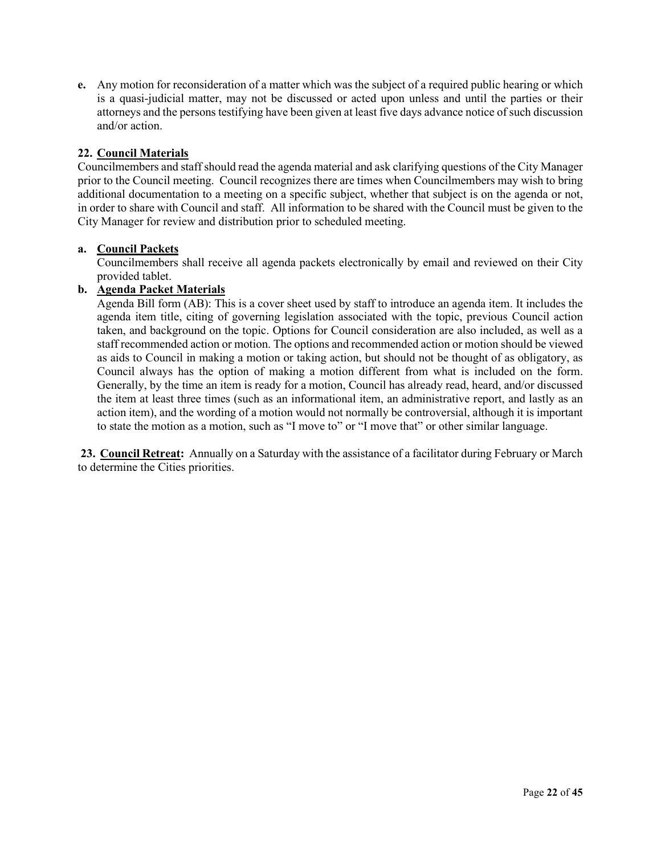**e.** Any motion for reconsideration of a matter which was the subject of a required public hearing or which is a quasi-judicial matter, may not be discussed or acted upon unless and until the parties or their attorneys and the persons testifying have been given at least five days advance notice of such discussion and/or action.

# **22. Council Materials**

Councilmembers and staff should read the agenda material and ask clarifying questions of the City Manager prior to the Council meeting. Council recognizes there are times when Councilmembers may wish to bring additional documentation to a meeting on a specific subject, whether that subject is on the agenda or not, in order to share with Council and staff. All information to be shared with the Council must be given to the City Manager for review and distribution prior to scheduled meeting.

# **a. Council Packets**

Councilmembers shall receive all agenda packets electronically by email and reviewed on their City provided tablet.

# **b. Agenda Packet Materials**

Agenda Bill form (AB): This is a cover sheet used by staff to introduce an agenda item. It includes the agenda item title, citing of governing legislation associated with the topic, previous Council action taken, and background on the topic. Options for Council consideration are also included, as well as a staff recommended action or motion. The options and recommended action or motion should be viewed as aids to Council in making a motion or taking action, but should not be thought of as obligatory, as Council always has the option of making a motion different from what is included on the form. Generally, by the time an item is ready for a motion, Council has already read, heard, and/or discussed the item at least three times (such as an informational item, an administrative report, and lastly as an action item), and the wording of a motion would not normally be controversial, although it is important to state the motion as a motion, such as "I move to" or "I move that" or other similar language.

**23. Council Retreat:** Annually on a Saturday with the assistance of a facilitator during February or March to determine the Cities priorities.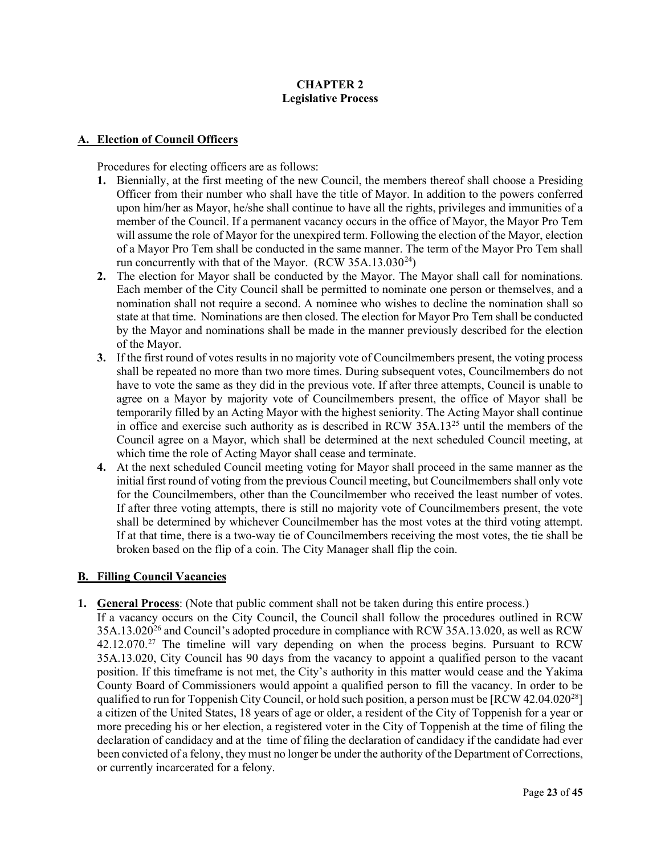# **CHAPTER 2 Legislative Process**

# **A. Election of Council Officers**

Procedures for electing officers are as follows:

- **1.** Biennially, at the first meeting of the new Council, the members thereof shall choose a Presiding Officer from their number who shall have the title of Mayor. In addition to the powers conferred upon him/her as Mayor, he/she shall continue to have all the rights, privileges and immunities of a member of the Council. If a permanent vacancy occurs in the office of Mayor, the Mayor Pro Tem will assume the role of Mayor for the unexpired term. Following the election of the Mayor, election of a Mayor Pro Tem shall be conducted in the same manner. The term of the Mayor Pro Tem shall run concurrently with that of the Mayor. (RCW  $35A.13.030^{24}$ )
- **2.** The election for Mayor shall be conducted by the Mayor. The Mayor shall call for nominations. Each member of the City Council shall be permitted to nominate one person or themselves, and a nomination shall not require a second. A nominee who wishes to decline the nomination shall so state at that time. Nominations are then closed. The election for Mayor Pro Tem shall be conducted by the Mayor and nominations shall be made in the manner previously described for the election of the Mayor.
- **3.** If the first round of votes results in no majority vote of Councilmembers present, the voting process shall be repeated no more than two more times. During subsequent votes, Councilmembers do not have to vote the same as they did in the previous vote. If after three attempts, Council is unable to agree on a Mayor by majority vote of Councilmembers present, the office of Mayor shall be temporarily filled by an Acting Mayor with the highest seniority. The Acting Mayor shall continue in office and exercise such authority as is described in RCW  $35A.13^{25}$  $35A.13^{25}$  $35A.13^{25}$  until the members of the Council agree on a Mayor, which shall be determined at the next scheduled Council meeting, at which time the role of Acting Mayor shall cease and terminate.
- **4.** At the next scheduled Council meeting voting for Mayor shall proceed in the same manner as the initial first round of voting from the previous Council meeting, but Councilmembers shall only vote for the Councilmembers, other than the Councilmember who received the least number of votes. If after three voting attempts, there is still no majority vote of Councilmembers present, the vote shall be determined by whichever Councilmember has the most votes at the third voting attempt. If at that time, there is a two-way tie of Councilmembers receiving the most votes, the tie shall be broken based on the flip of a coin. The City Manager shall flip the coin.

# **B. Filling Council Vacancies**

**1. General Process**: (Note that public comment shall not be taken during this entire process.) If a vacancy occurs on the City Council, the Council shall follow the procedures outlined in RCW  $35A.13.020^{26}$  and Council's adopted procedure in compliance with RCW 35A.13.020, as well as RCW 42.12.070.<sup>[27](#page-44-3)</sup> The timeline will vary depending on when the process begins. Pursuant to RCW 35A.13.020, City Council has 90 days from the vacancy to appoint a qualified person to the vacant position. If this timeframe is not met, the City's authority in this matter would cease and the Yakima County Board of Commissioners would appoint a qualified person to fill the vacancy. In order to be qualified to run for Toppenish City Council, or hold such position, a person must be  $[RCW 42.04.020^{28}]$ a citizen of the United States, 18 years of age or older, a resident of the City of Toppenish for a year or more preceding his or her election, a registered voter in the City of Toppenish at the time of filing the declaration of candidacy and at the time of filing the declaration of candidacy if the candidate had ever been convicted of a felony, they must no longer be under the authority of the Department of Corrections, or currently incarcerated for a felony.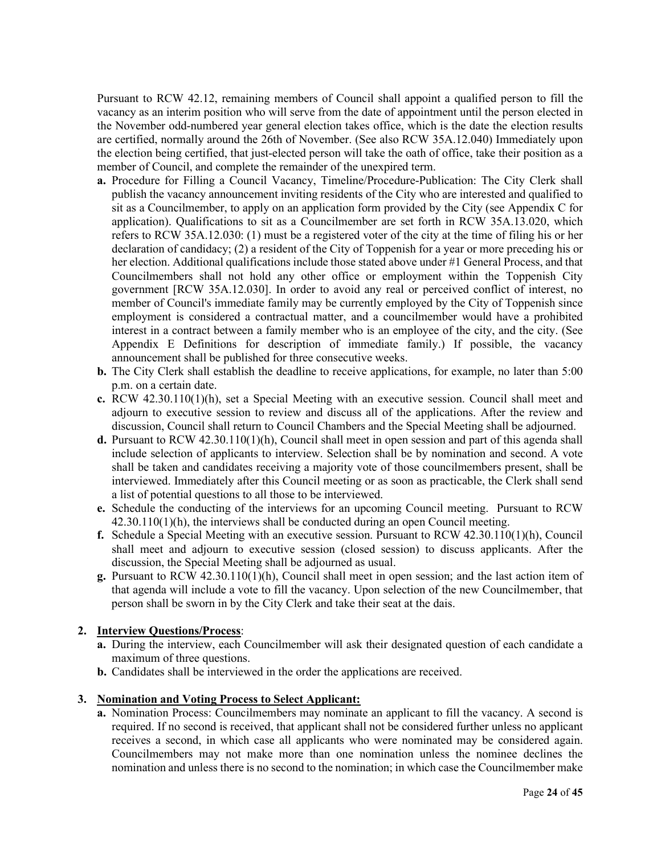Pursuant to RCW 42.12, remaining members of Council shall appoint a qualified person to fill the vacancy as an interim position who will serve from the date of appointment until the person elected in the November odd-numbered year general election takes office, which is the date the election results are certified, normally around the 26th of November. (See also RCW 35A.12.040) Immediately upon the election being certified, that just-elected person will take the oath of office, take their position as a member of Council, and complete the remainder of the unexpired term.

- **a.** Procedure for Filling a Council Vacancy, Timeline/Procedure-Publication: The City Clerk shall publish the vacancy announcement inviting residents of the City who are interested and qualified to sit as a Councilmember, to apply on an application form provided by the City (see Appendix C for application). Qualifications to sit as a Councilmember are set forth in RCW 35A.13.020, which refers to RCW 35A.12.030: (1) must be a registered voter of the city at the time of filing his or her declaration of candidacy; (2) a resident of the City of Toppenish for a year or more preceding his or her election. Additional qualifications include those stated above under #1 General Process, and that Councilmembers shall not hold any other office or employment within the Toppenish City government [RCW 35A.12.030]. In order to avoid any real or perceived conflict of interest, no member of Council's immediate family may be currently employed by the City of Toppenish since employment is considered a contractual matter, and a councilmember would have a prohibited interest in a contract between a family member who is an employee of the city, and the city. (See Appendix E Definitions for description of immediate family.) If possible, the vacancy announcement shall be published for three consecutive weeks.
- **b.** The City Clerk shall establish the deadline to receive applications, for example, no later than 5:00 p.m. on a certain date.
- **c.** RCW 42.30.110(1)(h), set a Special Meeting with an executive session. Council shall meet and adjourn to executive session to review and discuss all of the applications. After the review and discussion, Council shall return to Council Chambers and the Special Meeting shall be adjourned.
- **d.** Pursuant to RCW 42.30.110(1)(h), Council shall meet in open session and part of this agenda shall include selection of applicants to interview. Selection shall be by nomination and second. A vote shall be taken and candidates receiving a majority vote of those councilmembers present, shall be interviewed. Immediately after this Council meeting or as soon as practicable, the Clerk shall send a list of potential questions to all those to be interviewed.
- **e.** Schedule the conducting of the interviews for an upcoming Council meeting. Pursuant to RCW 42.30.110(1)(h), the interviews shall be conducted during an open Council meeting.
- **f.** Schedule a Special Meeting with an executive session. Pursuant to RCW 42.30.110(1)(h), Council shall meet and adjourn to executive session (closed session) to discuss applicants. After the discussion, the Special Meeting shall be adjourned as usual.
- **g.** Pursuant to RCW 42.30.110(1)(h), Council shall meet in open session; and the last action item of that agenda will include a vote to fill the vacancy. Upon selection of the new Councilmember, that person shall be sworn in by the City Clerk and take their seat at the dais.

# **2. Interview Questions/Process**:

- **a.** During the interview, each Councilmember will ask their designated question of each candidate a maximum of three questions.
- **b.** Candidates shall be interviewed in the order the applications are received.

# **3. Nomination and Voting Process to Select Applicant:**

**a.** Nomination Process: Councilmembers may nominate an applicant to fill the vacancy. A second is required. If no second is received, that applicant shall not be considered further unless no applicant receives a second, in which case all applicants who were nominated may be considered again. Councilmembers may not make more than one nomination unless the nominee declines the nomination and unless there is no second to the nomination; in which case the Councilmember make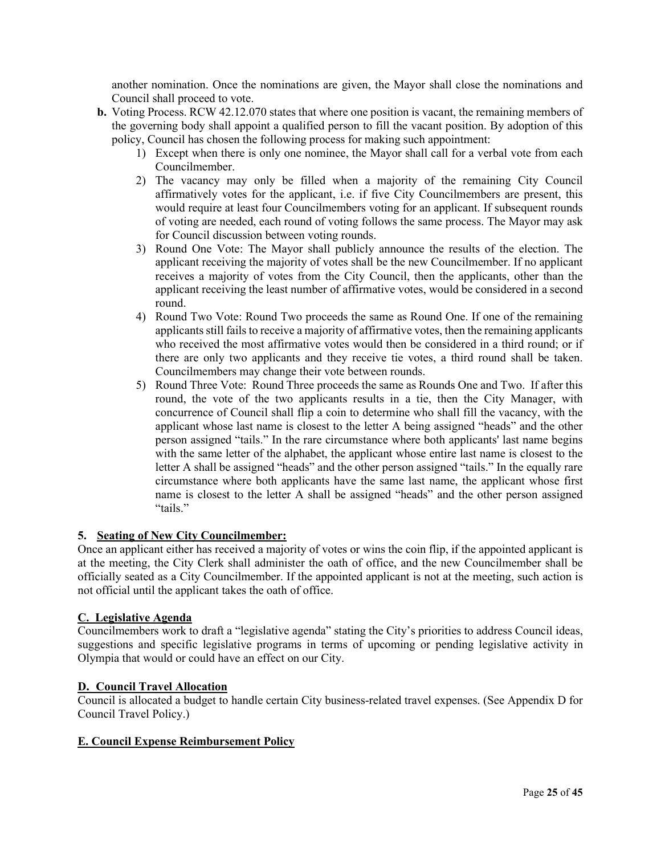another nomination. Once the nominations are given, the Mayor shall close the nominations and Council shall proceed to vote.

- **b.** Voting Process. RCW 42.12.070 states that where one position is vacant, the remaining members of the governing body shall appoint a qualified person to fill the vacant position. By adoption of this policy, Council has chosen the following process for making such appointment:
	- 1) Except when there is only one nominee, the Mayor shall call for a verbal vote from each Councilmember.
	- 2) The vacancy may only be filled when a majority of the remaining City Council affirmatively votes for the applicant, i.e. if five City Councilmembers are present, this would require at least four Councilmembers voting for an applicant. If subsequent rounds of voting are needed, each round of voting follows the same process. The Mayor may ask for Council discussion between voting rounds.
	- 3) Round One Vote: The Mayor shall publicly announce the results of the election. The applicant receiving the majority of votes shall be the new Councilmember. If no applicant receives a majority of votes from the City Council, then the applicants, other than the applicant receiving the least number of affirmative votes, would be considered in a second round.
	- 4) Round Two Vote: Round Two proceeds the same as Round One. If one of the remaining applicants still failsto receive a majority of affirmative votes, then the remaining applicants who received the most affirmative votes would then be considered in a third round; or if there are only two applicants and they receive tie votes, a third round shall be taken. Councilmembers may change their vote between rounds.
	- 5) Round Three Vote: Round Three proceeds the same as Rounds One and Two. If after this round, the vote of the two applicants results in a tie, then the City Manager, with concurrence of Council shall flip a coin to determine who shall fill the vacancy, with the applicant whose last name is closest to the letter A being assigned "heads" and the other person assigned "tails." In the rare circumstance where both applicants' last name begins with the same letter of the alphabet, the applicant whose entire last name is closest to the letter A shall be assigned "heads" and the other person assigned "tails." In the equally rare circumstance where both applicants have the same last name, the applicant whose first name is closest to the letter A shall be assigned "heads" and the other person assigned "tails."

# **5. Seating of New City Councilmember:**

Once an applicant either has received a majority of votes or wins the coin flip, if the appointed applicant is at the meeting, the City Clerk shall administer the oath of office, and the new Councilmember shall be officially seated as a City Councilmember. If the appointed applicant is not at the meeting, such action is not official until the applicant takes the oath of office.

# **C. Legislative Agenda**

Councilmembers work to draft a "legislative agenda" stating the City's priorities to address Council ideas, suggestions and specific legislative programs in terms of upcoming or pending legislative activity in Olympia that would or could have an effect on our City.

# **D. Council Travel Allocation**

Council is allocated a budget to handle certain City business-related travel expenses. (See Appendix D for Council Travel Policy.)

# **E. Council Expense Reimbursement Policy**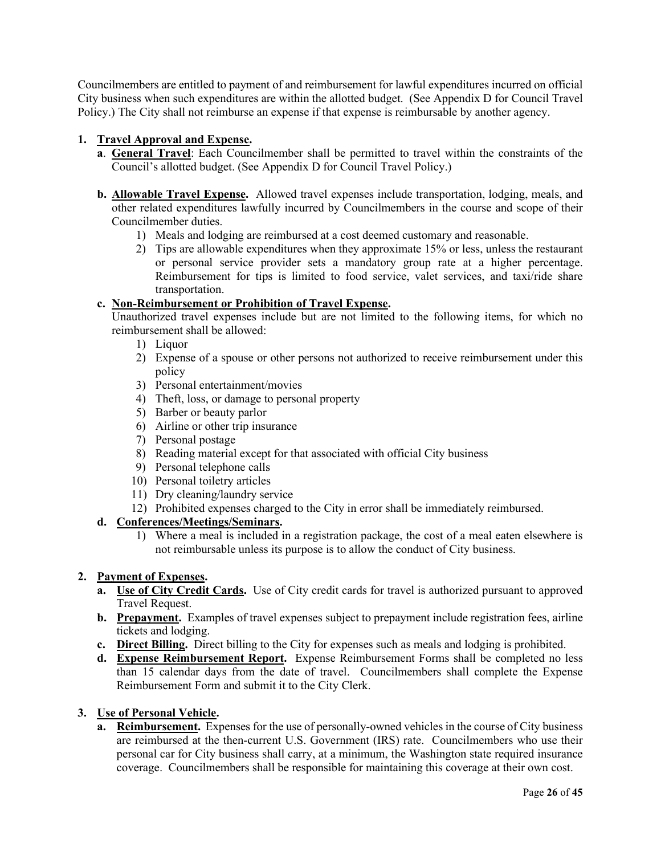Councilmembers are entitled to payment of and reimbursement for lawful expenditures incurred on official City business when such expenditures are within the allotted budget. (See Appendix D for Council Travel Policy.) The City shall not reimburse an expense if that expense is reimbursable by another agency.

# **1. Travel Approval and Expense.**

- **a**. **General Travel**: Each Councilmember shall be permitted to travel within the constraints of the Council's allotted budget. (See Appendix D for Council Travel Policy.)
- **b. Allowable Travel Expense.** Allowed travel expenses include transportation, lodging, meals, and other related expenditures lawfully incurred by Councilmembers in the course and scope of their Councilmember duties.
	- 1) Meals and lodging are reimbursed at a cost deemed customary and reasonable.
	- 2) Tips are allowable expenditures when they approximate 15% or less, unless the restaurant or personal service provider sets a mandatory group rate at a higher percentage. Reimbursement for tips is limited to food service, valet services, and taxi/ride share transportation.

# **c. Non-Reimbursement or Prohibition of Travel Expense.**

Unauthorized travel expenses include but are not limited to the following items, for which no reimbursement shall be allowed:

- 1) Liquor
- 2) Expense of a spouse or other persons not authorized to receive reimbursement under this policy
- 3) Personal entertainment/movies
- 4) Theft, loss, or damage to personal property
- 5) Barber or beauty parlor
- 6) Airline or other trip insurance
- 7) Personal postage
- 8) Reading material except for that associated with official City business
- 9) Personal telephone calls
- 10) Personal toiletry articles
- 11) Dry cleaning/laundry service
- 12) Prohibited expenses charged to the City in error shall be immediately reimbursed.

# **d. Conferences/Meetings/Seminars.**

1) Where a meal is included in a registration package, the cost of a meal eaten elsewhere is not reimbursable unless its purpose is to allow the conduct of City business.

# **2. Payment of Expenses.**

- **a. Use of City Credit Cards.** Use of City credit cards for travel is authorized pursuant to approved Travel Request.
- **b. Prepayment.** Examples of travel expenses subject to prepayment include registration fees, airline tickets and lodging.
- **c. Direct Billing.** Direct billing to the City for expenses such as meals and lodging is prohibited.
- **d. Expense Reimbursement Report.** Expense Reimbursement Forms shall be completed no less than 15 calendar days from the date of travel. Councilmembers shall complete the Expense Reimbursement Form and submit it to the City Clerk.

# **3. Use of Personal Vehicle.**

**a. Reimbursement.** Expenses for the use of personally-owned vehicles in the course of City business are reimbursed at the then-current U.S. Government (IRS) rate. Councilmembers who use their personal car for City business shall carry, at a minimum, the Washington state required insurance coverage. Councilmembers shall be responsible for maintaining this coverage at their own cost.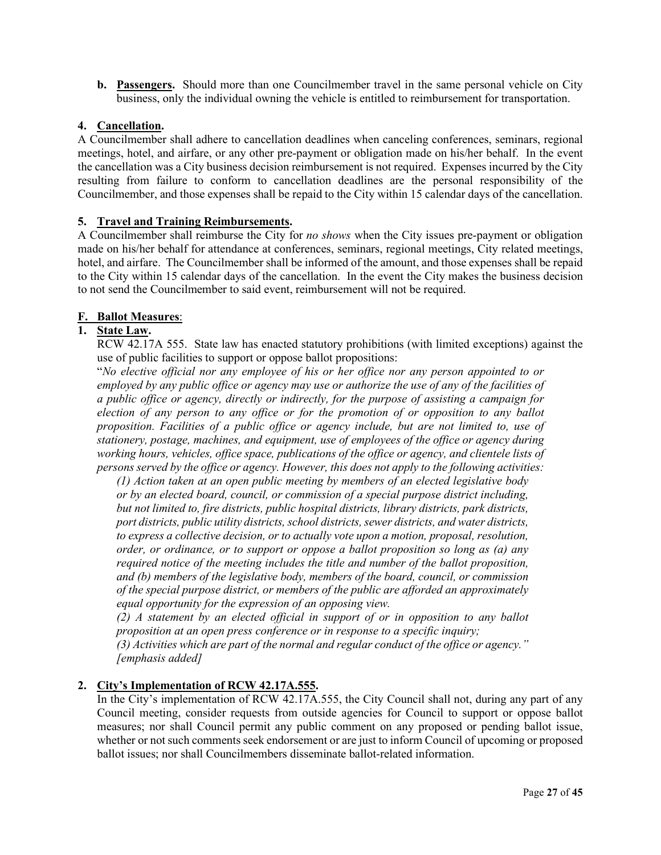**b. Passengers.** Should more than one Councilmember travel in the same personal vehicle on City business, only the individual owning the vehicle is entitled to reimbursement for transportation.

# **4. Cancellation.**

A Councilmember shall adhere to cancellation deadlines when canceling conferences, seminars, regional meetings, hotel, and airfare, or any other pre-payment or obligation made on his/her behalf. In the event the cancellation was a City business decision reimbursement is not required. Expenses incurred by the City resulting from failure to conform to cancellation deadlines are the personal responsibility of the Councilmember, and those expenses shall be repaid to the City within 15 calendar days of the cancellation.

# **5. Travel and Training Reimbursements.**

A Councilmember shall reimburse the City for *no shows* when the City issues pre-payment or obligation made on his/her behalf for attendance at conferences, seminars, regional meetings, City related meetings, hotel, and airfare. The Councilmember shall be informed of the amount, and those expenses shall be repaid to the City within 15 calendar days of the cancellation. In the event the City makes the business decision to not send the Councilmember to said event, reimbursement will not be required.

# **F. Ballot Measures**:

# **1. State Law.**

RCW 42.17A 555. State law has enacted statutory prohibitions (with limited exceptions) against the use of public facilities to support or oppose ballot propositions:

"*No elective official nor any employee of his or her office nor any person appointed to or employed by any public office or agency may use or authorize the use of any of the facilities of a public office or agency, directly or indirectly, for the purpose of assisting a campaign for election of any person to any office or for the promotion of or opposition to any ballot proposition. Facilities of a public office or agency include, but are not limited to, use of stationery, postage, machines, and equipment, use of employees of the office or agency during working hours, vehicles, office space, publications of the office or agency, and clientele lists of persons served by the office or agency. However, this does not apply to the following activities:*

*(1) Action taken at an open public meeting by members of an elected legislative body or by an elected board, council, or commission of a special purpose district including, but not limited to, fire districts, public hospital districts, library districts, park districts, port districts, public utility districts, school districts, sewer districts, and water districts, to express a collective decision, or to actually vote upon a motion, proposal, resolution, order, or ordinance, or to support or oppose a ballot proposition so long as (a) any required notice of the meeting includes the title and number of the ballot proposition, and (b) members of the legislative body, members of the board, council, or commission of the special purpose district, or members of the public are afforded an approximately equal opportunity for the expression of an opposing view.*

*(2) A statement by an elected official in support of or in opposition to any ballot proposition at an open press conference or in response to a specific inquiry;*

*(3) Activities which are part of the normal and regular conduct of the office or agency." [emphasis added]*

# **2. City's Implementation of RCW 42.17A.555.**

In the City's implementation of RCW 42.17A.555, the City Council shall not, during any part of any Council meeting, consider requests from outside agencies for Council to support or oppose ballot measures; nor shall Council permit any public comment on any proposed or pending ballot issue, whether or not such comments seek endorsement or are just to inform Council of upcoming or proposed ballot issues; nor shall Councilmembers disseminate ballot-related information.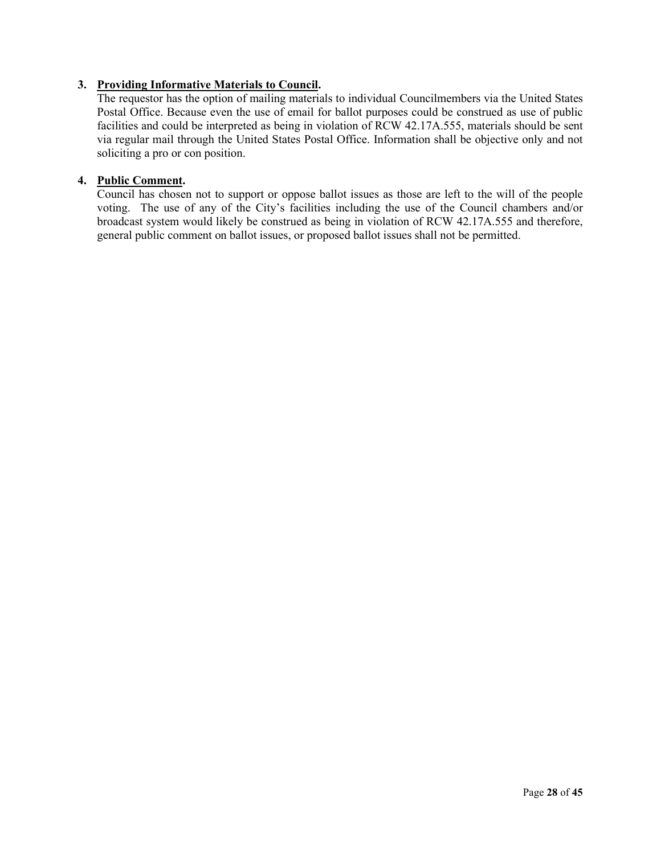# **3. Providing Informative Materials to Council.**

The requestor has the option of mailing materials to individual Councilmembers via the United States Postal Office. Because even the use of email for ballot purposes could be construed as use of public facilities and could be interpreted as being in violation of RCW 42.17A.555, materials should be sent via regular mail through the United States Postal Office. Information shall be objective only and not soliciting a pro or con position.

# **4. Public Comment.**

Council has chosen not to support or oppose ballot issues as those are left to the will of the people voting. The use of any of the City's facilities including the use of the Council chambers and/or broadcast system would likely be construed as being in violation of RCW 42.17A.555 and therefore, general public comment on ballot issues, or proposed ballot issues shall not be permitted.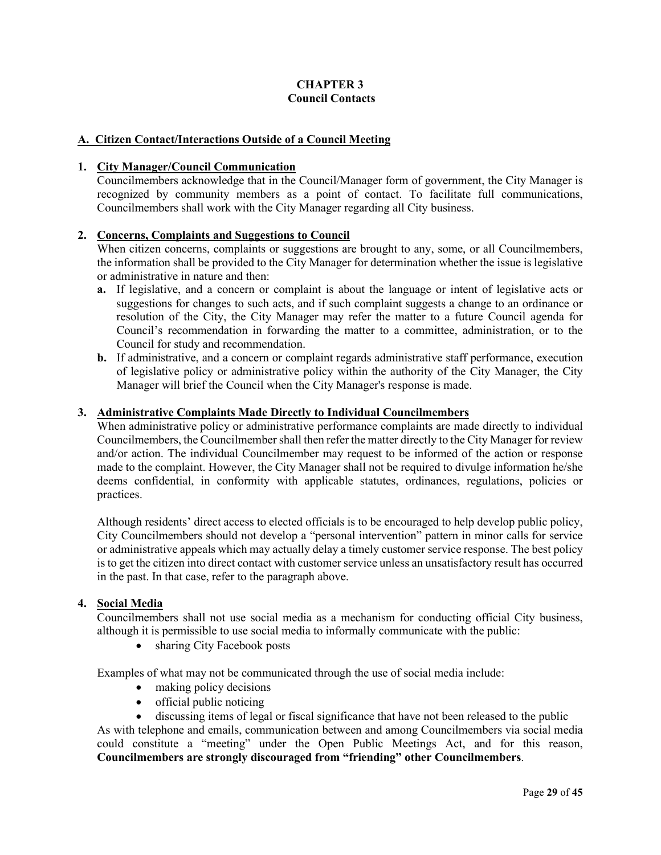# **CHAPTER 3 Council Contacts**

# **A. Citizen Contact/Interactions Outside of a Council Meeting**

### **1. City Manager/Council Communication**

Councilmembers acknowledge that in the Council/Manager form of government, the City Manager is recognized by community members as a point of contact. To facilitate full communications, Councilmembers shall work with the City Manager regarding all City business.

# **2. Concerns, Complaints and Suggestions to Council**

When citizen concerns, complaints or suggestions are brought to any, some, or all Councilmembers, the information shall be provided to the City Manager for determination whether the issue is legislative or administrative in nature and then:

- **a.** If legislative, and a concern or complaint is about the language or intent of legislative acts or suggestions for changes to such acts, and if such complaint suggests a change to an ordinance or resolution of the City, the City Manager may refer the matter to a future Council agenda for Council's recommendation in forwarding the matter to a committee, administration, or to the Council for study and recommendation.
- **b.** If administrative, and a concern or complaint regards administrative staff performance, execution of legislative policy or administrative policy within the authority of the City Manager, the City Manager will brief the Council when the City Manager's response is made.

#### **3. Administrative Complaints Made Directly to Individual Councilmembers**

When administrative policy or administrative performance complaints are made directly to individual Councilmembers, the Councilmember shall then refer the matter directly to the City Manager for review and/or action. The individual Councilmember may request to be informed of the action or response made to the complaint. However, the City Manager shall not be required to divulge information he/she deems confidential, in conformity with applicable statutes, ordinances, regulations, policies or practices.

Although residents' direct access to elected officials is to be encouraged to help develop public policy, City Councilmembers should not develop a "personal intervention" pattern in minor calls for service or administrative appeals which may actually delay a timely customer service response. The best policy is to get the citizen into direct contact with customer service unless an unsatisfactory result has occurred in the past. In that case, refer to the paragraph above.

# **4. Social Media**

Councilmembers shall not use social media as a mechanism for conducting official City business, although it is permissible to use social media to informally communicate with the public:

• sharing City Facebook posts

Examples of what may not be communicated through the use of social media include:

- making policy decisions
- official public noticing
- discussing items of legal or fiscal significance that have not been released to the public

As with telephone and emails, communication between and among Councilmembers via social media could constitute a "meeting" under the Open Public Meetings Act, and for this reason, **Councilmembers are strongly discouraged from "friending" other Councilmembers**.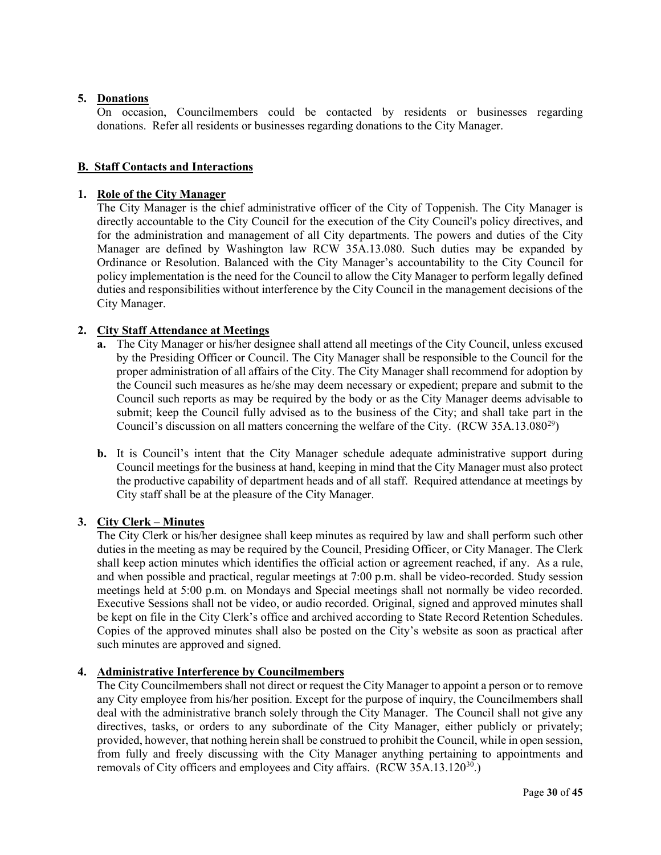# **5. Donations**

On occasion, Councilmembers could be contacted by residents or businesses regarding donations. Refer all residents or businesses regarding donations to the City Manager.

# **B. Staff Contacts and Interactions**

# **1. Role of the City Manager**

The City Manager is the chief administrative officer of the City of Toppenish. The City Manager is directly accountable to the City Council for the execution of the City Council's policy directives, and for the administration and management of all City departments. The powers and duties of the City Manager are defined by Washington law RCW 35A.13.080. Such duties may be expanded by Ordinance or Resolution. Balanced with the City Manager's accountability to the City Council for policy implementation is the need for the Council to allow the City Manager to perform legally defined duties and responsibilities without interference by the City Council in the management decisions of the City Manager.

# **2. City Staff Attendance at Meetings**

- **a.** The City Manager or his/her designee shall attend all meetings of the City Council, unless excused by the Presiding Officer or Council. The City Manager shall be responsible to the Council for the proper administration of all affairs of the City. The City Manager shall recommend for adoption by the Council such measures as he/she may deem necessary or expedient; prepare and submit to the Council such reports as may be required by the body or as the City Manager deems advisable to submit; keep the Council fully advised as to the business of the City; and shall take part in the Council's discussion on all matters concerning the welfare of the City. (RCW 35A.13.080<sup>29</sup>)
- **b.** It is Council's intent that the City Manager schedule adequate administrative support during Council meetings for the business at hand, keeping in mind that the City Manager must also protect the productive capability of department heads and of all staff. Required attendance at meetings by City staff shall be at the pleasure of the City Manager.

# **3. City Clerk – Minutes**

The City Clerk or his/her designee shall keep minutes as required by law and shall perform such other duties in the meeting as may be required by the Council, Presiding Officer, or City Manager. The Clerk shall keep action minutes which identifies the official action or agreement reached, if any. As a rule, and when possible and practical, regular meetings at 7:00 p.m. shall be video-recorded. Study session meetings held at 5:00 p.m. on Mondays and Special meetings shall not normally be video recorded. Executive Sessions shall not be video, or audio recorded. Original, signed and approved minutes shall be kept on file in the City Clerk's office and archived according to State Record Retention Schedules. Copies of the approved minutes shall also be posted on the City's website as soon as practical after such minutes are approved and signed.

# **4. Administrative Interference by Councilmembers**

The City Councilmembers shall not direct or request the City Manager to appoint a person or to remove any City employee from his/her position. Except for the purpose of inquiry, the Councilmembers shall deal with the administrative branch solely through the City Manager. The Council shall not give any directives, tasks, or orders to any subordinate of the City Manager, either publicly or privately; provided, however, that nothing herein shall be construed to prohibit the Council, while in open session, from fully and freely discussing with the City Manager anything pertaining to appointments and removals of City officers and employees and City affairs.  $(RCW 35A.13.120^{30})$  $(RCW 35A.13.120^{30})$  $(RCW 35A.13.120^{30})$ .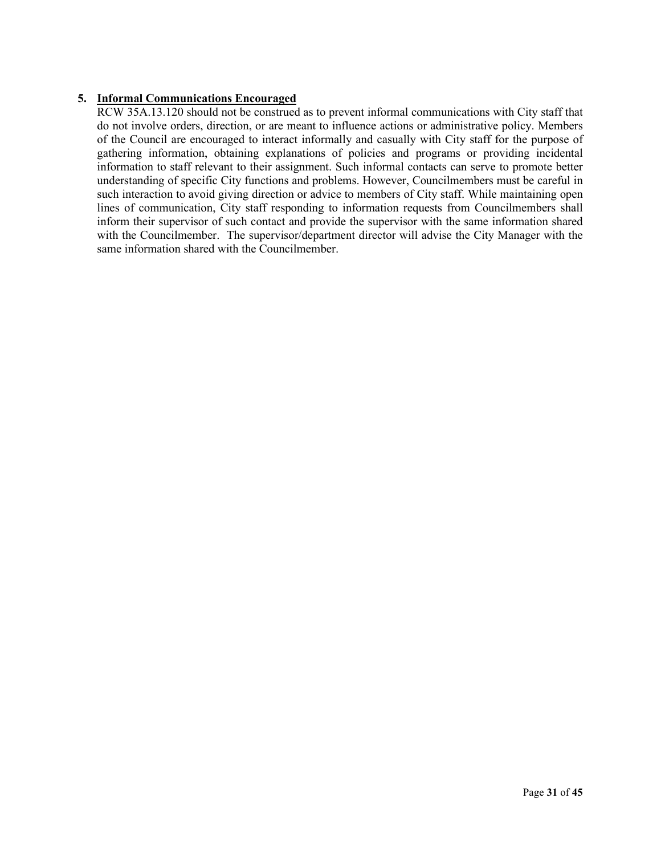# **5. Informal Communications Encouraged**

RCW 35A.13.120 should not be construed as to prevent informal communications with City staff that do not involve orders, direction, or are meant to influence actions or administrative policy. Members of the Council are encouraged to interact informally and casually with City staff for the purpose of gathering information, obtaining explanations of policies and programs or providing incidental information to staff relevant to their assignment. Such informal contacts can serve to promote better understanding of specific City functions and problems. However, Councilmembers must be careful in such interaction to avoid giving direction or advice to members of City staff. While maintaining open lines of communication, City staff responding to information requests from Councilmembers shall inform their supervisor of such contact and provide the supervisor with the same information shared with the Councilmember. The supervisor/department director will advise the City Manager with the same information shared with the Councilmember.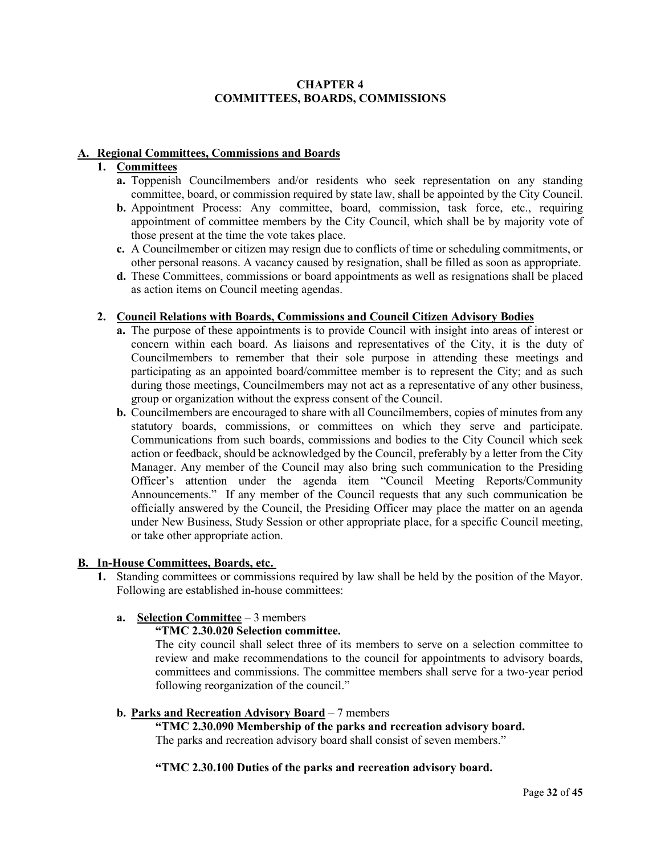# **CHAPTER 4 COMMITTEES, BOARDS, COMMISSIONS**

#### **A. Regional Committees, Commissions and Boards**

# **1. Committees**

- **a.** Toppenish Councilmembers and/or residents who seek representation on any standing committee, board, or commission required by state law, shall be appointed by the City Council.
- **b.** Appointment Process: Any committee, board, commission, task force, etc., requiring appointment of committee members by the City Council, which shall be by majority vote of those present at the time the vote takes place.
- **c.** A Councilmember or citizen may resign due to conflicts of time or scheduling commitments, or other personal reasons. A vacancy caused by resignation, shall be filled as soon as appropriate.
- **d.** These Committees, commissions or board appointments as well as resignations shall be placed as action items on Council meeting agendas.

# **2. Council Relations with Boards, Commissions and Council Citizen Advisory Bodies**

- **a.** The purpose of these appointments is to provide Council with insight into areas of interest or concern within each board. As liaisons and representatives of the City, it is the duty of Councilmembers to remember that their sole purpose in attending these meetings and participating as an appointed board/committee member is to represent the City; and as such during those meetings, Councilmembers may not act as a representative of any other business, group or organization without the express consent of the Council.
- **b.** Councilmembers are encouraged to share with all Councilmembers, copies of minutes from any statutory boards, commissions, or committees on which they serve and participate. Communications from such boards, commissions and bodies to the City Council which seek action or feedback, should be acknowledged by the Council, preferably by a letter from the City Manager. Any member of the Council may also bring such communication to the Presiding Officer's attention under the agenda item "Council Meeting Reports/Community Announcements." If any member of the Council requests that any such communication be officially answered by the Council, the Presiding Officer may place the matter on an agenda under New Business, Study Session or other appropriate place, for a specific Council meeting, or take other appropriate action.

## **B. In-House Committees, Boards, etc.**

**1.** Standing committees or commissions required by law shall be held by the position of the Mayor. Following are established in-house committees:

# **a. Selection Committee** – 3 members

# **"TMC 2.30.020 Selection committee.**

The city council shall select three of its members to serve on a selection committee to review and make recommendations to the council for appointments to advisory boards, committees and commissions. The committee members shall serve for a two-year period following reorganization of the council."

# **b. Parks and Recreation Advisory Board** – 7 members

**"TMC 2.30.090 Membership of the parks and recreation advisory board.** The parks and recreation advisory board shall consist of seven members."

# **"TMC 2.30.100 Duties of the parks and recreation advisory board.**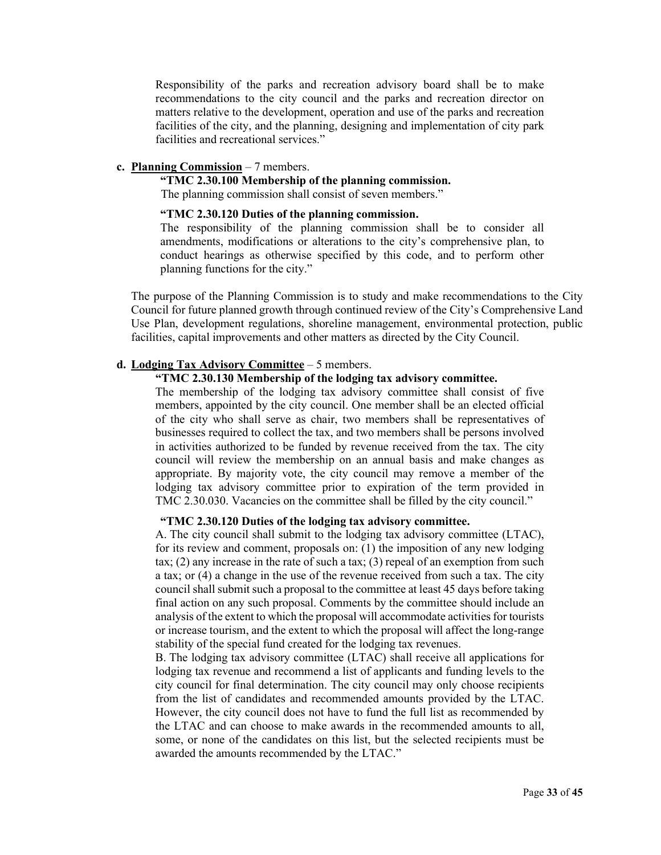Responsibility of the parks and recreation advisory board shall be to make recommendations to the city council and the parks and recreation director on matters relative to the development, operation and use of the parks and recreation facilities of the city, and the planning, designing and implementation of city park facilities and recreational services."

#### **c. Planning Commission** – 7 members.

**"TMC 2.30.100 Membership of the planning commission.**

The planning commission shall consist of seven members."

#### **"TMC 2.30.120 Duties of the planning commission.**

The responsibility of the planning commission shall be to consider all amendments, modifications or alterations to the city's comprehensive plan, to conduct hearings as otherwise specified by this code, and to perform other planning functions for the city."

The purpose of the Planning Commission is to study and make recommendations to the City Council for future planned growth through continued review of the City's Comprehensive Land Use Plan, development regulations, shoreline management, environmental protection, public facilities, capital improvements and other matters as directed by the City Council.

#### **d. Lodging Tax Advisory Committee** – 5 members.

# **"TMC 2.30.130 Membership of the lodging tax advisory committee.**

The membership of the lodging tax advisory committee shall consist of five members, appointed by the city council. One member shall be an elected official of the city who shall serve as chair, two members shall be representatives of businesses required to collect the tax, and two members shall be persons involved in activities authorized to be funded by revenue received from the tax. The city council will review the membership on an annual basis and make changes as appropriate. By majority vote, the city council may remove a member of the lodging tax advisory committee prior to expiration of the term provided in TMC 2.30.030. Vacancies on the committee shall be filled by the city council."

#### **"TMC 2.30.120 Duties of the lodging tax advisory committee.**

A. The city council shall submit to the lodging tax advisory committee (LTAC), for its review and comment, proposals on: (1) the imposition of any new lodging tax; (2) any increase in the rate of such a tax; (3) repeal of an exemption from such a tax; or (4) a change in the use of the revenue received from such a tax. The city council shall submit such a proposal to the committee at least 45 days before taking final action on any such proposal. Comments by the committee should include an analysis of the extent to which the proposal will accommodate activities for tourists or increase tourism, and the extent to which the proposal will affect the long-range stability of the special fund created for the lodging tax revenues.

B. The lodging tax advisory committee (LTAC) shall receive all applications for lodging tax revenue and recommend a list of applicants and funding levels to the city council for final determination. The city council may only choose recipients from the list of candidates and recommended amounts provided by the LTAC. However, the city council does not have to fund the full list as recommended by the LTAC and can choose to make awards in the recommended amounts to all, some, or none of the candidates on this list, but the selected recipients must be awarded the amounts recommended by the LTAC."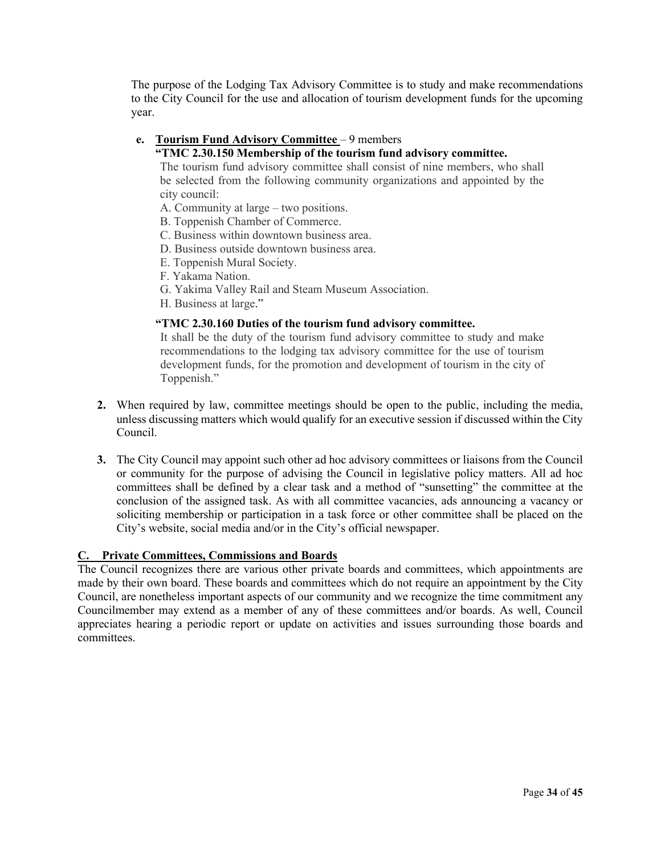The purpose of the Lodging Tax Advisory Committee is to study and make recommendations to the City Council for the use and allocation of tourism development funds for the upcoming year.

# **e. Tourism Fund Advisory Committee** – 9 members

### **"TMC 2.30.150 Membership of the tourism fund advisory committee.**

The tourism fund advisory committee shall consist of nine members, who shall be selected from the following community organizations and appointed by the city council:

A. Community at large – two positions.

- B. Toppenish Chamber of Commerce.
- C. Business within downtown business area.
- D. Business outside downtown business area.
- E. Toppenish Mural Society.
- F. Yakama Nation.
- G. Yakima Valley Rail and Steam Museum Association.
- H. Business at large."

#### **"TMC 2.30.160 Duties of the tourism fund advisory committee.**

It shall be the duty of the tourism fund advisory committee to study and make recommendations to the lodging tax advisory committee for the use of tourism development funds, for the promotion and development of tourism in the city of Toppenish."

- **2.** When required by law, committee meetings should be open to the public, including the media, unless discussing matters which would qualify for an executive session if discussed within the City Council.
- **3.** The City Council may appoint such other ad hoc advisory committees or liaisons from the Council or community for the purpose of advising the Council in legislative policy matters. All ad hoc committees shall be defined by a clear task and a method of "sunsetting" the committee at the conclusion of the assigned task. As with all committee vacancies, ads announcing a vacancy or soliciting membership or participation in a task force or other committee shall be placed on the City's website, social media and/or in the City's official newspaper.

# **C. Private Committees, Commissions and Boards**

The Council recognizes there are various other private boards and committees, which appointments are made by their own board. These boards and committees which do not require an appointment by the City Council, are nonetheless important aspects of our community and we recognize the time commitment any Councilmember may extend as a member of any of these committees and/or boards. As well, Council appreciates hearing a periodic report or update on activities and issues surrounding those boards and committees.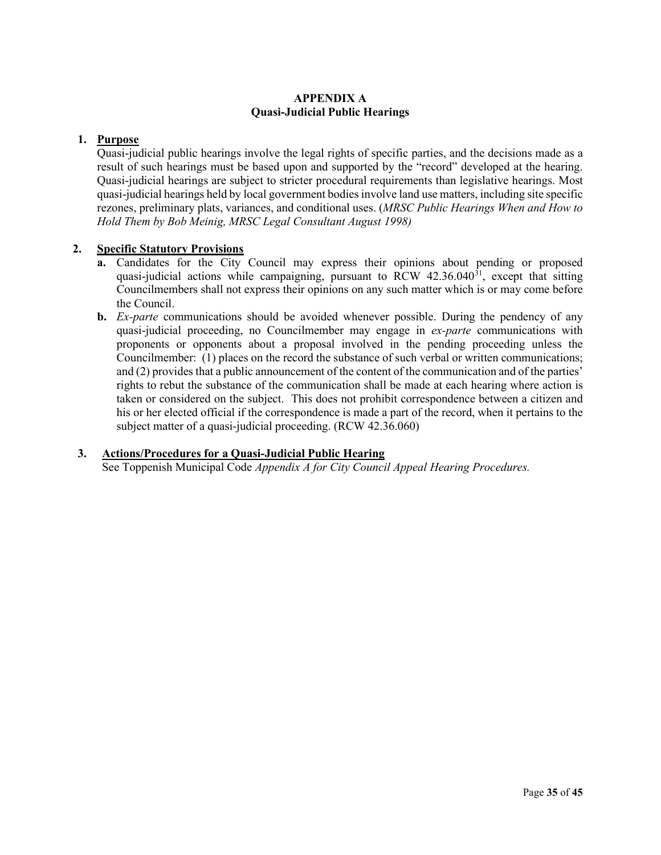# **APPENDIX A Quasi-Judicial Public Hearings**

# **1. Purpose**

Quasi-judicial public hearings involve the legal rights of specific parties, and the decisions made as a result of such hearings must be based upon and supported by the "record" developed at the hearing. Quasi-judicial hearings are subject to stricter procedural requirements than legislative hearings. Most quasi-judicial hearings held by local government bodies involve land use matters, including site specific rezones, preliminary plats, variances, and conditional uses. (*MRSC Public Hearings When and How to Hold Them by Bob Meinig, MRSC Legal Consultant August 1998)*

# **2. Specific Statutory Provisions**

- **a.** Candidates for the City Council may express their opinions about pending or proposed quasi-judicial actions while campaigning, pursuant to RCW  $42.36.040^{31}$  $42.36.040^{31}$  $42.36.040^{31}$ , except that sitting Councilmembers shall not express their opinions on any such matter which is or may come before the Council.
- **b.** *Ex-parte* communications should be avoided whenever possible. During the pendency of any quasi-judicial proceeding, no Councilmember may engage in *ex-parte* communications with proponents or opponents about a proposal involved in the pending proceeding unless the Councilmember: (1) places on the record the substance of such verbal or written communications; and (2) provides that a public announcement of the content of the communication and of the parties' rights to rebut the substance of the communication shall be made at each hearing where action is taken or considered on the subject. This does not prohibit correspondence between a citizen and his or her elected official if the correspondence is made a part of the record, when it pertains to the subject matter of a quasi-judicial proceeding. (RCW 42.36.060)

# **3. Actions/Procedures for a Quasi-Judicial Public Hearing**

See Toppenish Municipal Code *Appendix A for City Council Appeal Hearing Procedures.*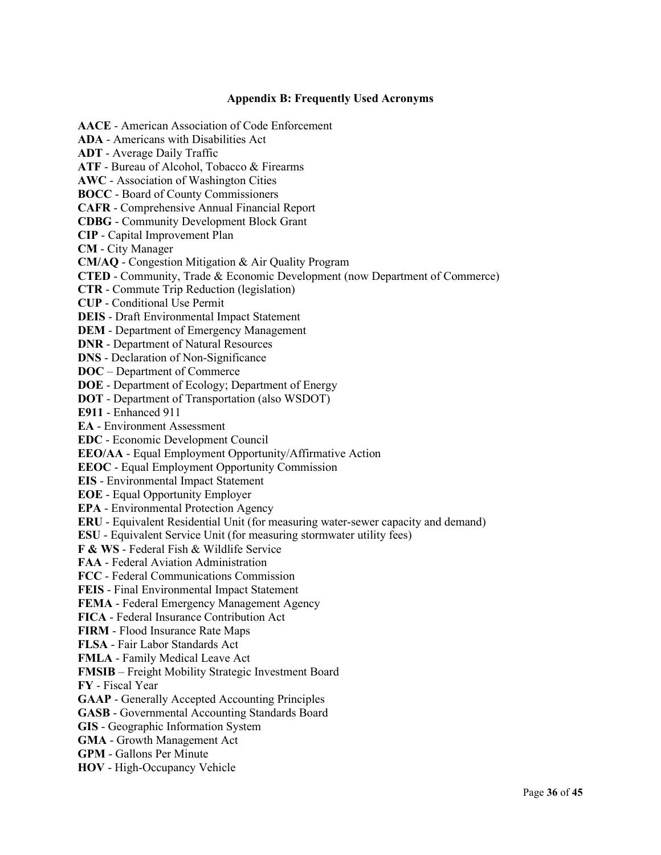# **Appendix B: Frequently Used Acronyms**

**AACE** - American Association of Code Enforcement **ADA** - Americans with Disabilities Act **ADT** - Average Daily Traffic **ATF** - Bureau of Alcohol, Tobacco & Firearms **AWC** - Association of Washington Cities **BOCC** - Board of County Commissioners **CAFR** - Comprehensive Annual Financial Report **CDBG** - Community Development Block Grant **CIP** - Capital Improvement Plan **CM** - City Manager **CM/AQ** - Congestion Mitigation & Air Quality Program **CTED** - Community, Trade & Economic Development (now Department of Commerce) **CTR** - Commute Trip Reduction (legislation) **CUP** - Conditional Use Permit **DEIS** - Draft Environmental Impact Statement **DEM** - Department of Emergency Management **DNR** - Department of Natural Resources **DNS** - Declaration of Non-Significance **DOC** – Department of Commerce **DOE** - Department of Ecology; Department of Energy **DOT** - Department of Transportation (also WSDOT) **E911** - Enhanced 911 **EA** - Environment Assessment **EDC** - Economic Development Council **EEO/AA** - Equal Employment Opportunity/Affirmative Action **EEOC** - Equal Employment Opportunity Commission **EIS** - Environmental Impact Statement **EOE** - Equal Opportunity Employer **EPA** - Environmental Protection Agency **ERU** - Equivalent Residential Unit (for measuring water-sewer capacity and demand) **ESU** - Equivalent Service Unit (for measuring stormwater utility fees) **F & WS** - Federal Fish & Wildlife Service **FAA** - Federal Aviation Administration **FCC** - Federal Communications Commission **FEIS** - Final Environmental Impact Statement **FEMA** - Federal Emergency Management Agency **FICA** - Federal Insurance Contribution Act **FIRM** - Flood Insurance Rate Maps **FLSA** - Fair Labor Standards Act **FMLA** - Family Medical Leave Act **FMSIB** – Freight Mobility Strategic Investment Board **FY** - Fiscal Year **GAAP** - Generally Accepted Accounting Principles **GASB** - Governmental Accounting Standards Board **GIS** - Geographic Information System **GMA** - Growth Management Act **GPM** - Gallons Per Minute **HOV** - High-Occupancy Vehicle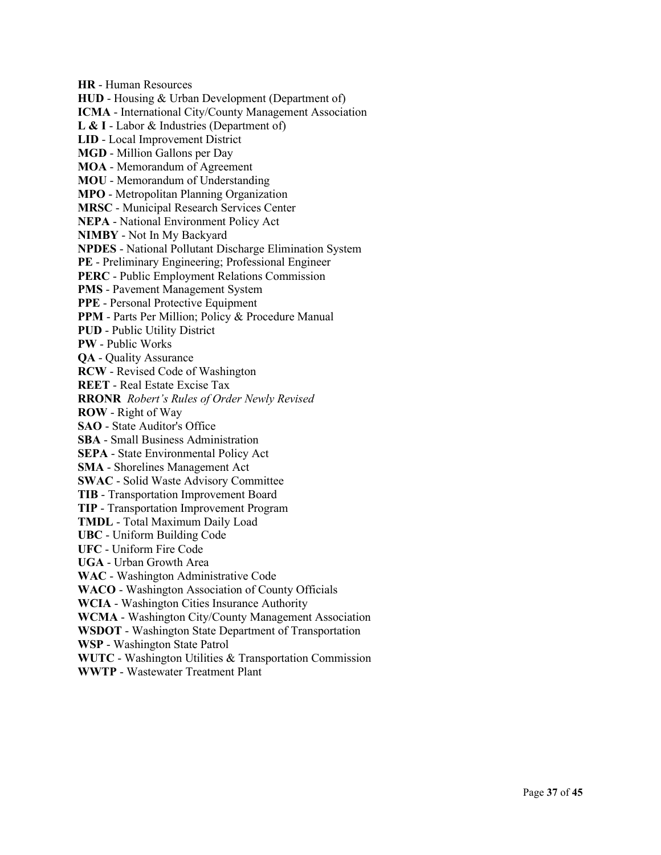**HR** - Human Resources **HUD** - Housing & Urban Development (Department of) **ICMA** - International City/County Management Association **L & I** - Labor & Industries (Department of) **LID** - Local Improvement District **MGD** - Million Gallons per Day **MOA** - Memorandum of Agreement **MOU** - Memorandum of Understanding **MPO** - Metropolitan Planning Organization **MRSC** - Municipal Research Services Center **NEPA** - National Environment Policy Act **NIMBY** - Not In My Backyard **NPDES** - National Pollutant Discharge Elimination System **PE** - Preliminary Engineering; Professional Engineer **PERC** - Public Employment Relations Commission **PMS** - Pavement Management System **PPE** - Personal Protective Equipment **PPM** - Parts Per Million; Policy & Procedure Manual **PUD** - Public Utility District **PW** - Public Works **QA** - Quality Assurance **RCW** - Revised Code of Washington **REET** - Real Estate Excise Tax **RRONR** *Robert's Rules of Order Newly Revised* **ROW** - Right of Way **SAO** - State Auditor's Office **SBA** - Small Business Administration **SEPA** - State Environmental Policy Act **SMA** - Shorelines Management Act **SWAC** - Solid Waste Advisory Committee **TIB** - Transportation Improvement Board **TIP** - Transportation Improvement Program **TMDL** - Total Maximum Daily Load **UBC** - Uniform Building Code **UFC** - Uniform Fire Code **UGA** - Urban Growth Area **WAC** - Washington Administrative Code **WACO** - Washington Association of County Officials **WCIA** - Washington Cities Insurance Authority **WCMA** - Washington City/County Management Association **WSDOT** - Washington State Department of Transportation **WSP** - Washington State Patrol **WUTC** - Washington Utilities & Transportation Commission **WWTP** - Wastewater Treatment Plant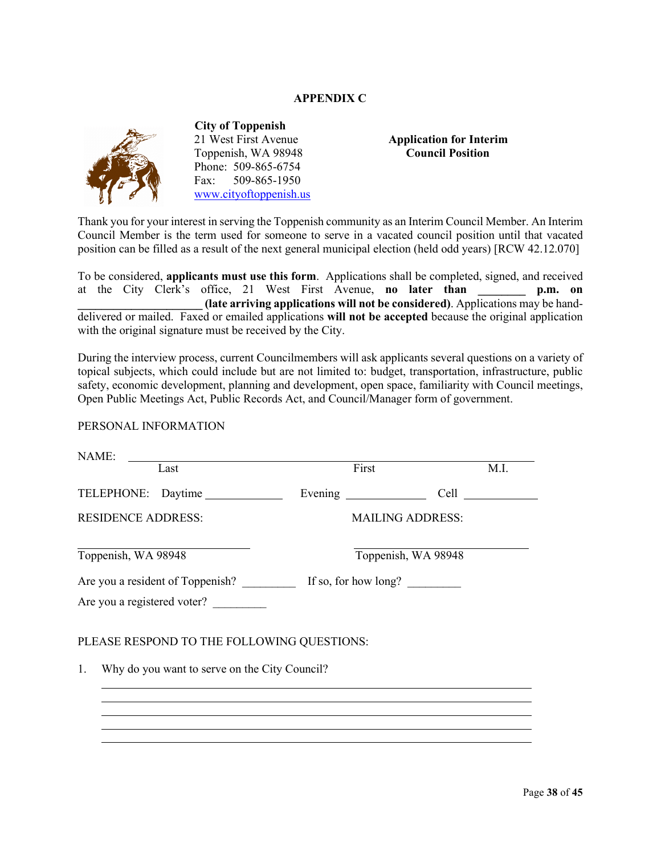# **APPENDIX C**



 **City of Toppenish** 21 West First Avenue **Application for Interim** Toppenish, WA 98948 **Council Position** Phone: 509-865-6754 Fax: 509-865-1950 [www.cityoftoppenish.us](http://www.cityoftoppenish.us/)

Thank you for your interest in serving the Toppenish community as an Interim Council Member. An Interim Council Member is the term used for someone to serve in a vacated council position until that vacated position can be filled as a result of the next general municipal election (held odd years) [RCW 42.12.070]

To be considered, **applicants must use this form**. Applications shall be completed, signed, and received at the City Clerk's office, 21 West First Avenue, **no later than \_\_\_\_\_\_\_\_ p.m. on \_\_\_\_\_\_\_\_\_\_\_\_\_\_\_\_\_\_\_\_\_ (late arriving applications will not be considered)**. Applications may be handdelivered or mailed. Faxed or emailed applications **will not be accepted** because the original application with the original signature must be received by the City.

During the interview process, current Councilmembers will ask applicants several questions on a variety of topical subjects, which could include but are not limited to: budget, transportation, infrastructure, public safety, economic development, planning and development, open space, familiarity with Council meetings, Open Public Meetings Act, Public Records Act, and Council/Manager form of government.

#### PERSONAL INFORMATION

| NAME:<br>Last                                       | First |                         | M.I. |
|-----------------------------------------------------|-------|-------------------------|------|
|                                                     |       |                         |      |
|                                                     |       |                         |      |
| <b>RESIDENCE ADDRESS:</b>                           |       | <b>MAILING ADDRESS:</b> |      |
| Toppenish, WA 98948                                 |       | Toppenish, WA 98948     |      |
|                                                     |       |                         |      |
| Are you a registered voter?                         |       |                         |      |
| PLEASE RESPOND TO THE FOLLOWING QUESTIONS:          |       |                         |      |
| Why do you want to serve on the City Council?<br>1. |       |                         |      |
|                                                     |       |                         |      |
|                                                     |       |                         |      |
|                                                     |       |                         |      |
|                                                     |       |                         |      |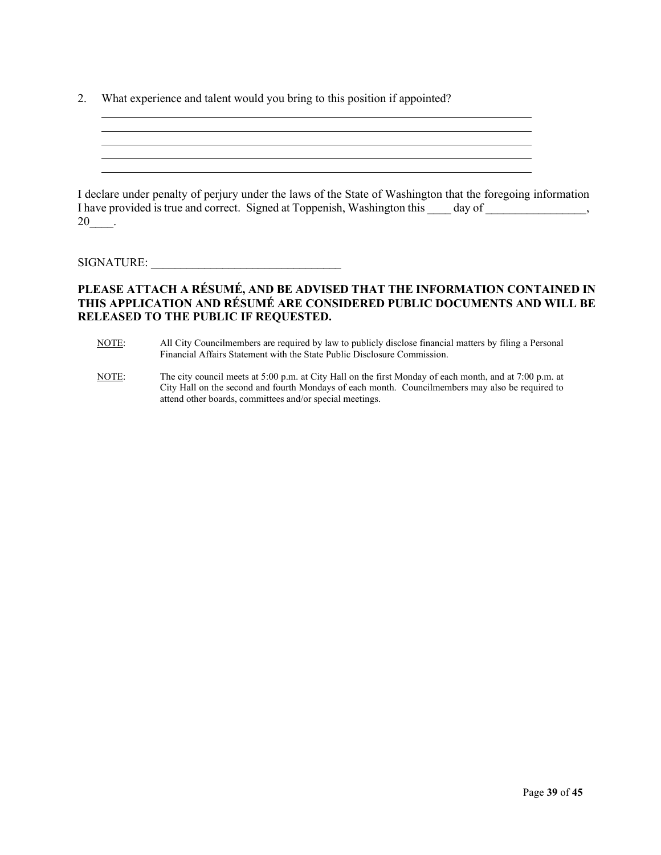2. What experience and talent would you bring to this position if appointed?

I declare under penalty of perjury under the laws of the State of Washington that the foregoing information I have provided is true and correct. Signed at Toppenish, Washington this day of  $\qquad \qquad$ ,  $20$  \_\_.

# SIGNATURE:

# **PLEASE ATTACH A RÉSUMÉ, AND BE ADVISED THAT THE INFORMATION CONTAINED IN THIS APPLICATION AND RÉSUMÉ ARE CONSIDERED PUBLIC DOCUMENTS AND WILL BE RELEASED TO THE PUBLIC IF REQUESTED.**

- NOTE: All City Councilmembers are required by law to publicly disclose financial matters by filing a Personal Financial Affairs Statement with the State Public Disclosure Commission.
- NOTE: The city council meets at 5:00 p.m. at City Hall on the first Monday of each month, and at 7:00 p.m. at City Hall on the second and fourth Mondays of each month. Councilmembers may also be required to attend other boards, committees and/or special meetings.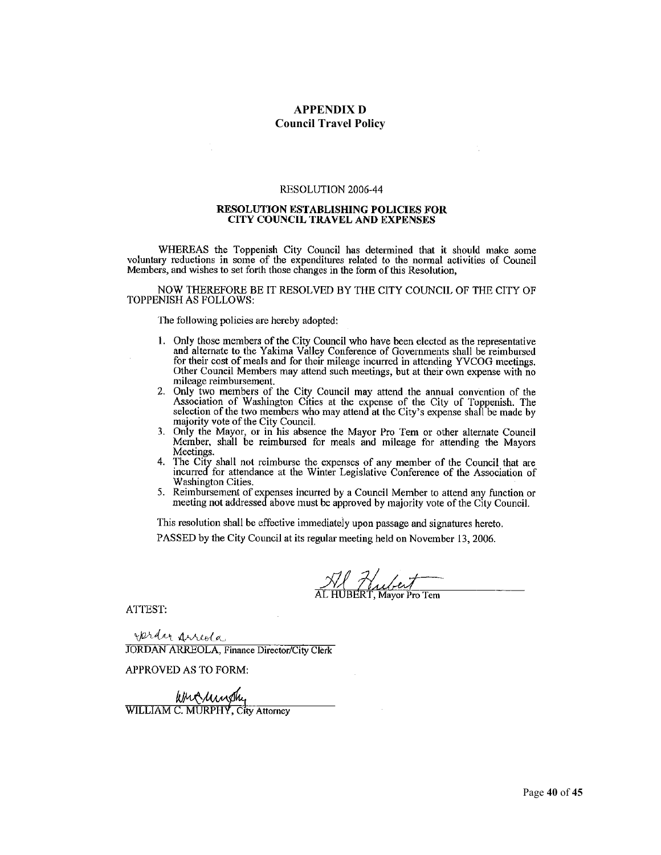#### **APPENDIX D Council Travel Policy**

#### RESOLUTION 2006-44

#### RESOLUTION ESTABLISHING POLICIES FOR **CITY COUNCIL TRAVEL AND EXPENSES**

WHEREAS the Toppenish City Council has determined that it should make some voluntary reductions in some of the expenditures related to the normal activities of Council Members, and wishes to set forth those changes in the form of this Resolution,

NOW THEREFORE BE IT RESOLVED BY THE CITY COUNCIL OF THE CITY OF TOPPENISH AS FOLLOWS:

The following policies are hereby adopted:

- 1. Only those members of the City Council who have been elected as the representative and alternate to the Yakima Valley Conference of Governments shall be reimbursed for their cost of meals and for their mileage incurred in attending YVCOG meetings. Other Council Members may attend such meetings, but at their own expense with no mileage reimbursement.
- 2. Only two members of the City Council may attend the annual convention of the Association of Washington Cities at the expense of the City of Toppenish. The selection of the two members who may attend at the City's expense shall be made by majority vote of the City Council.
- Only the Mayor, or in his absence the Mayor Pro Tem or other alternate Council 3. Member, shall be reimbursed for meals and mileage for attending the Mayors Meetings.
- The City shall not reimburse the expenses of any member of the Council that are incurred for attendance at the Winter Legislative Conference of the Association of  $4.$ Washington Cities.
- 5. Reimbursement of expenses incurred by a Council Member to attend any function or meeting not addressed above must be approved by majority vote of the City Council.

This resolution shall be effective immediately upon passage and signatures hereto.

PASSED by the City Council at its regular meeting held on November 13, 2006.

Haubert<br>UBERT, Mayor Pro Tem

ATTEST:

Jerdan Arreola **JORDAN ARREOLA, Finance Director/City Clerk** 

APPROVED AS TO FORM:

When with your will will will be written with the will be written with the way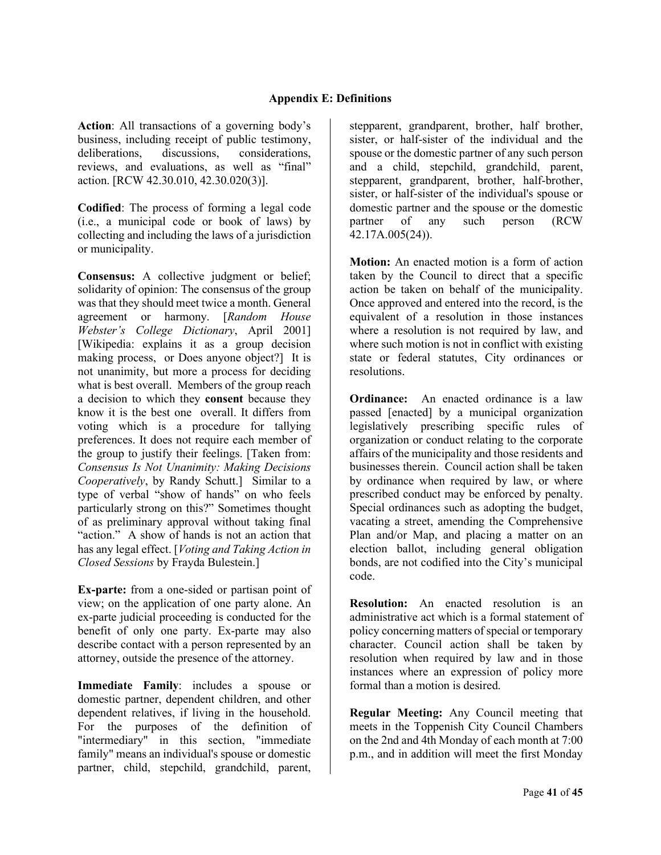**Action**: All transactions of a governing body's business, including receipt of public testimony, deliberations, discussions, considerations, reviews, and evaluations, as well as "final" action. [RCW 42.30.010, 42.30.020(3)].

**Codified**: The process of forming a legal code (i.e., a municipal code or book of laws) by collecting and including the laws of a jurisdiction or municipality.

**Consensus:** A collective judgment or belief; solidarity of opinion: The consensus of the group was that they should meet twice a month. General agreement or harmony. [*Random House Webster's College Dictionary*, April 2001] [Wikipedia: explains it as a group decision making process, or Does anyone object?] It is not unanimity, but more a process for deciding what is best overall. Members of the group reach a decision to which they **consent** because they know it is the best one overall. It differs from voting which is a procedure for tallying preferences. It does not require each member of the group to justify their feelings. [Taken from: *Consensus Is Not Unanimity: Making Decisions Cooperatively*, by Randy Schutt.] Similar to a type of verbal "show of hands" on who feels particularly strong on this?" Sometimes thought of as preliminary approval without taking final "action." A show of hands is not an action that has any legal effect. [*Voting and Taking Action in Closed Sessions* by Frayda Bulestein.]

**Ex-parte:** from a one-sided or partisan point of view; on the application of one party alone. An ex-parte judicial proceeding is conducted for the benefit of only one party. Ex-parte may also describe contact with a person represented by an attorney, outside the presence of the attorney.

**Immediate Family**: includes a spouse or domestic partner, dependent children, and other dependent relatives, if living in the household. For the purposes of the definition of "intermediary" in this section, "immediate family" means an individual's spouse or domestic partner, child, stepchild, grandchild, parent,

stepparent, grandparent, brother, half brother, sister, or half-sister of the individual and the spouse or the domestic partner of any such person and a child, stepchild, grandchild, parent, stepparent, grandparent, brother, half-brother, sister, or half-sister of the individual's spouse or domestic partner and the spouse or the domestic partner of any such person (RCW 42.17A.005(24)).

**Motion:** An enacted motion is a form of action taken by the Council to direct that a specific action be taken on behalf of the municipality. Once approved and entered into the record, is the equivalent of a resolution in those instances where a resolution is not required by law, and where such motion is not in conflict with existing state or federal statutes, City ordinances or resolutions.

**Ordinance:** An enacted ordinance is a law passed [enacted] by a municipal organization legislatively prescribing specific rules of organization or conduct relating to the corporate affairs of the municipality and those residents and businesses therein. Council action shall be taken by ordinance when required by law, or where prescribed conduct may be enforced by penalty. Special ordinances such as adopting the budget, vacating a street, amending the Comprehensive Plan and/or Map, and placing a matter on an election ballot, including general obligation bonds, are not codified into the City's municipal code.

**Resolution:** An enacted resolution is an administrative act which is a formal statement of policy concerning matters of special or temporary character. Council action shall be taken by resolution when required by law and in those instances where an expression of policy more formal than a motion is desired.

**Regular Meeting:** Any Council meeting that meets in the Toppenish City Council Chambers on the 2nd and 4th Monday of each month at 7:00 p.m., and in addition will meet the first Monday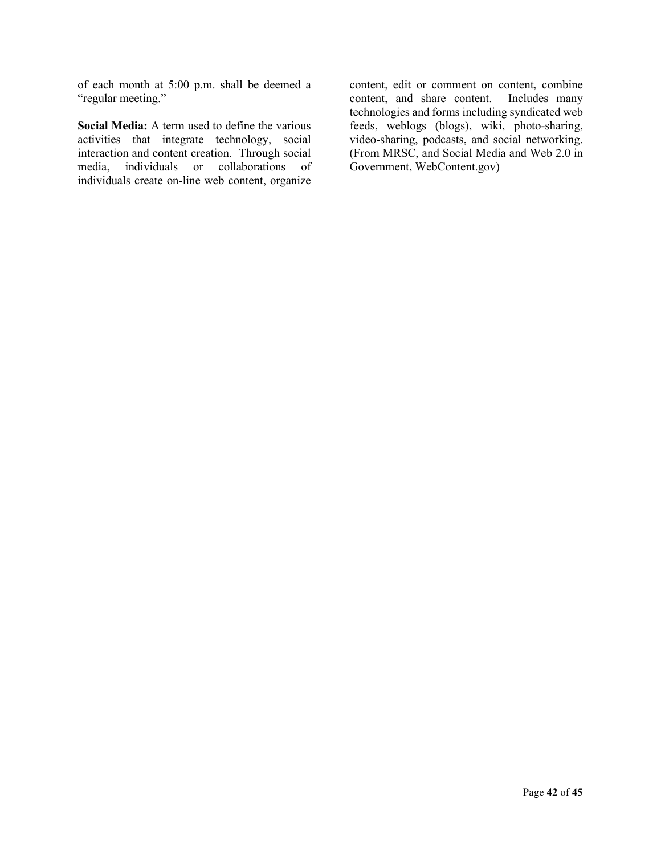of each month at 5:00 p.m. shall be deemed a "regular meeting."

**Social Media:** A term used to define the various activities that integrate technology, social interaction and content creation. Through social media, individuals or collaborations of individuals create on-line web content, organize content, edit or comment on content, combine content, and share content. Includes many technologies and forms including syndicated web feeds, weblogs (blogs), wiki, photo-sharing, video-sharing, podcasts, and social networking. (From MRSC, and Social Media and Web 2.0 in Government, WebContent.gov)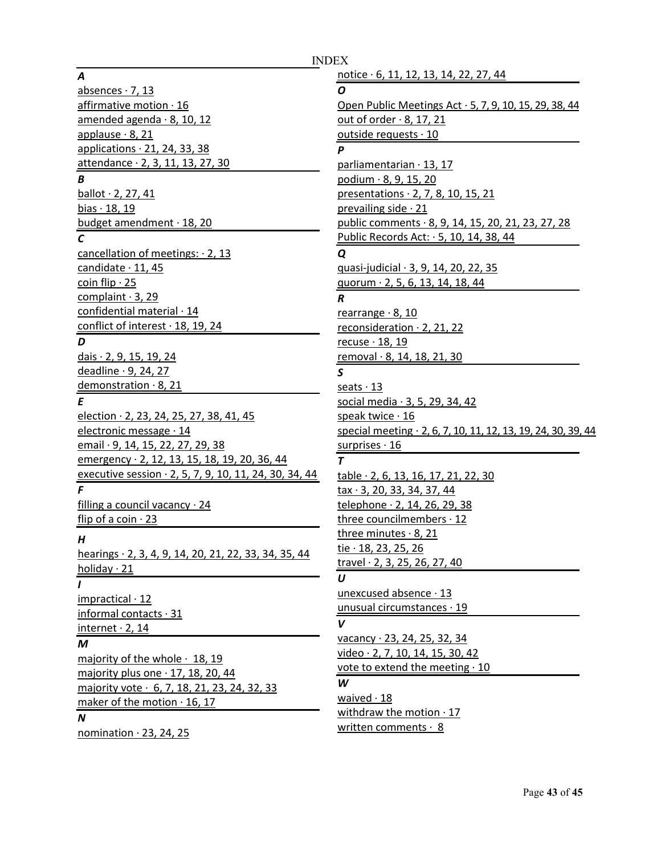#### *A*

absences  $\cdot$  7, 13 affirmative motion · 16 amended agenda · 8, 10, 12 applause · 8, 21 applications · 21, 24, 33, 38 attendance · 2, 3, 11, 13, 27, 30 *B* ballot · 2, 27, 41 bias  $\cdot$  18, 19 budget amendment · 18, 20 *C* cancellation of meetings: 2, 13 candidate · 11, 45 coin flip  $\cdot$  25 complaint · 3, 29 confidential material · 14 conflict of interest · 18, 19, 24 *D* dais · 2, 9, 15, 19, 24 deadline · 9, 24, 27 demonstration · 8, 21 *E* election · 2, 23, 24, 25, 27, 38, 41, 45 electronic message · 14 email · 9, 14, 15, 22, 27, 29, 38 emergency · 2, 12, 13, 15, 18, 19, 20, 36, 44 executive session · 2, 5, 7, 9, 10, 11, 24, 30, 34, 44 *F* filling a council vacancy  $\cdot$  24 flip of a coin  $\cdot$  23 *H* hearings · 2, 3, 4, 9, 14, 20, 21, 22, 33, 34, 35, 44 holiday · 21 *I* impractical · 12 informal contacts · 31 internet  $\cdot$  2, 14 *M* majority of the whole  $\cdot$  18, 19 majority plus one  $\cdot$  17, 18, 20, 44 majority vote · 6, 7, 18, 21, 23, 24, 32, 33 maker of the motion · 16, 17 *N*

INDEX

nomination · 23, 24, 25

notice · 6, 11, 12, 13, 14, 22, 27, 44 *O* Open Public Meetings Act · 5, 7, 9, 10, 15, 29, 38, 44 out of order  $\cdot$  8, 17, 21 outside requests · 10 *P* parliamentarian · 13, 17 podium · 8, 9, 15, 20 presentations · 2, 7, 8, 10, 15, 21 prevailing side · 21 public comments · 8, 9, 14, 15, 20, 21, 23, 27, 28 Public Records Act: · 5, 10, 14, 38, 44 *Q* quasi-judicial · 3, 9, 14, 20, 22, 35 quorum · 2, 5, 6, 13, 14, 18, 44 *R* rearrange  $\cdot$  8, 10 reconsideration · 2, 21, 22 recuse · 18, 19 removal · 8, 14, 18, 21, 30 *S* seats  $\cdot$  13 social media · 3, 5, 29, 34, 42 speak twice · 16 special meeting · 2, 6, 7, 10, 11, 12, 13, 19, 24, 30, 39, 44 surprises · 16 *T* table · 2, 6, 13, 16, 17, 21, 22, 30 tax · 3, 20, 33, 34, 37, 44 telephone · 2, 14, 26, 29, 38 three councilmembers · 12 three minutes · 8, 21 tie · 18, 23, 25, 26 travel · 2, 3, 25, 26, 27, 40 *U* unexcused absence · 13 unusual circumstances · 19 *V* vacancy · 23, 24, 25, 32, 34 video · 2, 7, 10, 14, 15, 30, 42 vote to extend the meeting  $\cdot$  10 *W* waived  $\cdot$  18 withdraw the motion  $\cdot$  17 written comments  $\cdot$  8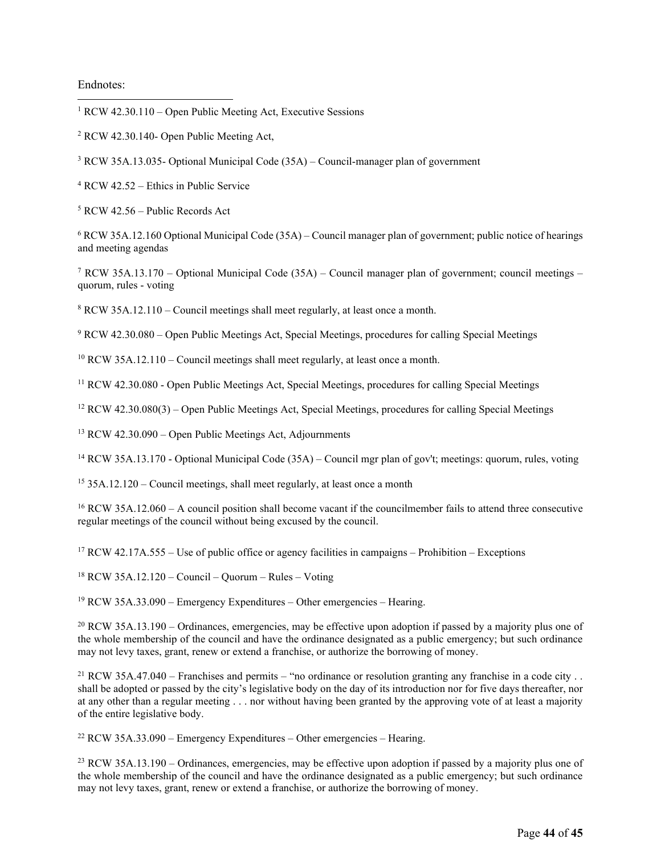#### Endnotes:

<span id="page-43-0"></span><sup>1</sup> RCW 42.30.110 – Open Public Meeting Act, Executive Sessions

- <span id="page-43-1"></span><sup>2</sup> RCW 42.30.140- Open Public Meeting Act,
- <span id="page-43-2"></span><sup>3</sup> RCW 35A.13.035- Optional Municipal Code (35A) – Council-manager plan of government
- <span id="page-43-3"></span><sup>4</sup> RCW 42.52 – Ethics in Public Service
- <span id="page-43-4"></span><sup>5</sup> RCW 42.56 – Public Records Act

<span id="page-43-5"></span><sup>6</sup> RCW 35A.12.160 Optional Municipal Code (35A) – Council manager plan of government; public notice of hearings and meeting agendas

<span id="page-43-6"></span><sup>7</sup> RCW 35A.13.170 – Optional Municipal Code (35A) – Council manager plan of government; council meetings – quorum, rules - voting

<span id="page-43-7"></span><sup>8</sup> RCW 35A.12.110 – Council meetings shall meet regularly, at least once a month.

<span id="page-43-8"></span><sup>9</sup> RCW 42.30.080 – Open Public Meetings Act, Special Meetings, procedures for calling Special Meetings

<span id="page-43-9"></span> $10$  RCW 35A.12.110 – Council meetings shall meet regularly, at least once a month.

<span id="page-43-10"></span><sup>11</sup> RCW 42.30.080 - Open Public Meetings Act, Special Meetings, procedures for calling Special Meetings

<span id="page-43-11"></span><sup>12</sup> RCW 42.30.080(3) – Open Public Meetings Act, Special Meetings, procedures for calling Special Meetings

<span id="page-43-12"></span><sup>13</sup> RCW 42.30.090 – Open Public Meetings Act, Adjournments

<span id="page-43-13"></span><sup>14</sup> RCW 35A.13.170 - Optional Municipal Code (35A) – Council mgr plan of gov't; meetings: quorum, rules, voting

<span id="page-43-14"></span><sup>15</sup> 35A.12.120 – Council meetings, shall meet regularly, at least once a month

<span id="page-43-15"></span><sup>16</sup> RCW 35A.12.060 – A council position shall become vacant if the councilmember fails to attend three consecutive regular meetings of the council without being excused by the council.

<span id="page-43-16"></span> $17$  RCW 42.17A.555 – Use of public office or agency facilities in campaigns – Prohibition – Exceptions

<span id="page-43-17"></span> $18$  RCW 35A.12.120 – Council – Quorum – Rules – Voting

<span id="page-43-18"></span> $19$  RCW 35A.33.090 – Emergency Expenditures – Other emergencies – Hearing.

<span id="page-43-19"></span> $20$  RCW 35A.13.190 – Ordinances, emergencies, may be effective upon adoption if passed by a majority plus one of the whole membership of the council and have the ordinance designated as a public emergency; but such ordinance may not levy taxes, grant, renew or extend a franchise, or authorize the borrowing of money.

<span id="page-43-20"></span><sup>21</sup> RCW 35A.47.040 – Franchises and permits – "no ordinance or resolution granting any franchise in a code city . . shall be adopted or passed by the city's legislative body on the day of its introduction nor for five days thereafter, nor at any other than a regular meeting . . . nor without having been granted by the approving vote of at least a majority of the entire legislative body.

<span id="page-43-21"></span> $22$  RCW 35A.33.090 – Emergency Expenditures – Other emergencies – Hearing.

<span id="page-43-22"></span> $^{23}$  RCW 35A.13.190 – Ordinances, emergencies, may be effective upon adoption if passed by a majority plus one of the whole membership of the council and have the ordinance designated as a public emergency; but such ordinance may not levy taxes, grant, renew or extend a franchise, or authorize the borrowing of money.